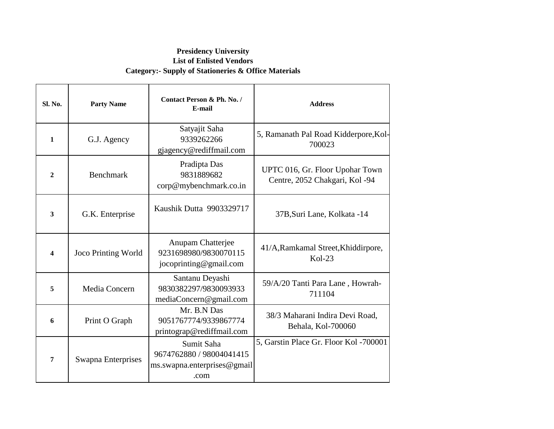#### **Presidency University List of Enlisted Vendors Category:- Supply of Stationeries & Office Materials**

| Sl. No.          | <b>Party Name</b>          | Contact Person & Ph. No. /<br>E-mail                                          | <b>Address</b>                                                    |
|------------------|----------------------------|-------------------------------------------------------------------------------|-------------------------------------------------------------------|
| $\mathbf{1}$     | G.J. Agency                | Satyajit Saha<br>9339262266<br>gjagency@rediffmail.com                        | 5, Ramanath Pal Road Kidderpore, Kol-<br>700023                   |
| $\overline{2}$   | <b>Benchmark</b>           | Pradipta Das<br>9831889682<br>corp@mybenchmark.co.in                          | UPTC 016, Gr. Floor Upohar Town<br>Centre, 2052 Chakgari, Kol -94 |
| 3                | G.K. Enterprise            | Kaushik Dutta 9903329717                                                      | 37B, Suri Lane, Kolkata -14                                       |
| $\boldsymbol{4}$ | <b>Joco Printing World</b> | Anupam Chatterjee<br>9231698980/9830070115<br>jocoprinting@gmail.com          | 41/A, Ramkamal Street, Khiddirpore,<br>$Kol-23$                   |
| 5                | Media Concern              | Santanu Deyashi<br>9830382297/9830093933<br>mediaConcern@gmail.com            | 59/A/20 Tanti Para Lane, Howrah-<br>711104                        |
| 6                | Print O Graph              | Mr. B.N Das<br>9051767774/9339867774<br>printograp@rediffmail.com             | 38/3 Maharani Indira Devi Road,<br>Behala, Kol-700060             |
| $\overline{7}$   | Swapna Enterprises         | Sumit Saha<br>9674762880 / 98004041415<br>ms.swapna.enterprises@gmail<br>.com | 5, Garstin Place Gr. Floor Kol -700001                            |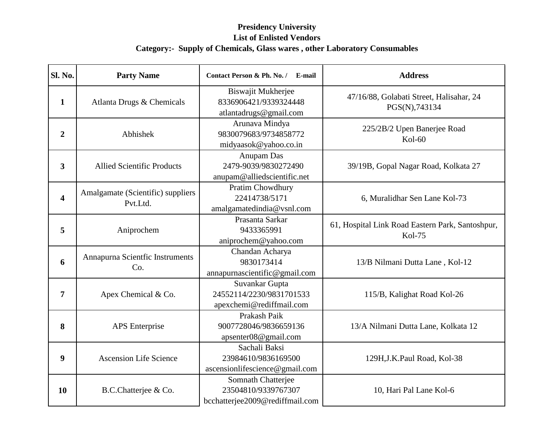| Sl. No.                 | <b>Party Name</b>                             | Contact Person & Ph. No. /<br>E-mail                                         | <b>Address</b>                                                    |
|-------------------------|-----------------------------------------------|------------------------------------------------------------------------------|-------------------------------------------------------------------|
| $\mathbf{1}$            | Atlanta Drugs & Chemicals                     | Biswajit Mukherjee<br>8336906421/9339324448<br>atlantadrugs@gmail.com        | 47/16/88, Golabati Street, Halisahar, 24<br>PGS(N),743134         |
| $\overline{2}$          | Abhishek                                      | Arunava Mindya<br>9830079683/9734858772<br>midyaasok@yahoo.co.in             | 225/2B/2 Upen Banerjee Road<br>$Kol-60$                           |
| 3                       | <b>Allied Scientific Products</b>             | Anupam Das<br>2479-9039/9830272490<br>anupam@alliedscientific.net            | 39/19B, Gopal Nagar Road, Kolkata 27                              |
| $\overline{\mathbf{4}}$ | Amalgamate (Scientific) suppliers<br>Pvt.Ltd. | Pratim Chowdhury<br>22414738/5171<br>amalgamatedindia@vsnl.com               | 6, Muralidhar Sen Lane Kol-73                                     |
| 5                       | Aniprochem                                    | Prasanta Sarkar<br>9433365991<br>aniprochem@yahoo.com                        | 61, Hospital Link Road Eastern Park, Santoshpur,<br><b>Kol-75</b> |
| 6                       | Annapurna Scientfic Instruments<br>Co.        | Chandan Acharya<br>9830173414<br>annapurnascientific@gmail.com               | 13/B Nilmani Dutta Lane, Kol-12                                   |
| 7                       | Apex Chemical & Co.                           | Suvankar Gupta<br>24552114/2230/9831701533<br>apexchemi@rediffmail.com       | 115/B, Kalighat Road Kol-26                                       |
| 8                       | <b>APS</b> Enterprise                         | Prakash Paik<br>9007728046/9836659136<br>apsenter08@gmail.com                | 13/A Nilmani Dutta Lane, Kolkata 12                               |
| 9                       | <b>Ascension Life Science</b>                 | Sachali Baksi<br>23984610/9836169500<br>ascensionlifescience@gmail.com       | 129H, J.K. Paul Road, Kol-38                                      |
| 10                      | B.C.Chatterjee & Co.                          | Somnath Chatterjee<br>23504810/9339767307<br>bcchatterjee2009@rediffmail.com | 10, Hari Pal Lane Kol-6                                           |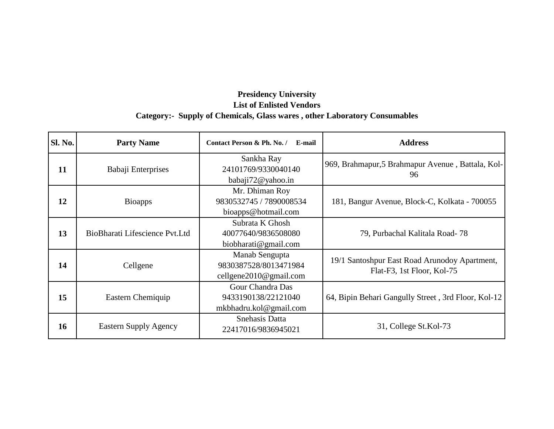| <b>Sl. No.</b> | <b>Party Name</b>              | Contact Person & Ph. No. /<br>E-mail                              | <b>Address</b>                                                              |
|----------------|--------------------------------|-------------------------------------------------------------------|-----------------------------------------------------------------------------|
| 11             | Babaji Enterprises             | Sankha Ray<br>24101769/9330040140<br>babaji72@yahoo.in            | 969, Brahmapur, 5 Brahmapur Avenue, Battala, Kol-<br>96                     |
| 12             | <b>Bioapps</b>                 | Mr. Dhiman Roy<br>9830532745 / 7890008534<br>bioapps@hotmail.com  | 181, Bangur Avenue, Block-C, Kolkata - 700055                               |
| 13             | BioBharati Lifescience Pvt.Ltd | Subrata K Ghosh<br>40077640/9836508080<br>biobharati@gmail.com    | 79, Purbachal Kalitala Road-78                                              |
| 14             | Cellgene                       | Manab Sengupta<br>9830387528/8013471984<br>cellgene2010@gmail.com | 19/1 Santoshpur East Road Arunodoy Apartment,<br>Flat-F3, 1st Floor, Kol-75 |
| 15             | Eastern Chemiquip              | Gour Chandra Das<br>9433190138/22121040<br>mkbhadru.kol@gmail.com | 64, Bipin Behari Gangully Street, 3rd Floor, Kol-12                         |
| 16             | <b>Eastern Supply Agency</b>   | Snehasis Datta<br>22417016/9836945021                             | 31, College St.Kol-73                                                       |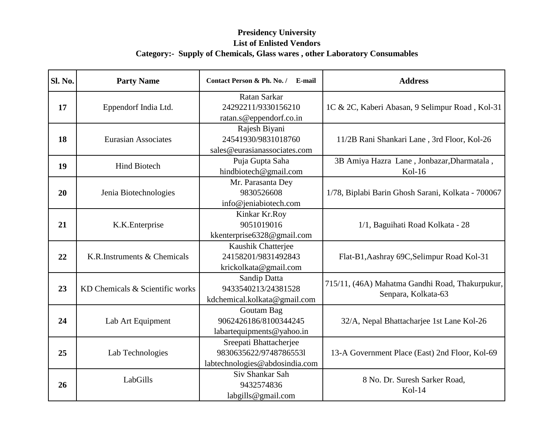| Sl. No. | <b>Party Name</b>               | Contact Person & Ph. No. /<br>E-mail                                               | <b>Address</b>                                                         |
|---------|---------------------------------|------------------------------------------------------------------------------------|------------------------------------------------------------------------|
| 17      | Eppendorf India Ltd.            | Ratan Sarkar<br>24292211/9330156210<br>ratan.s@eppendorf.co.in                     | 1C & 2C, Kaberi Abasan, 9 Selimpur Road, Kol-31                        |
| 18      | <b>Eurasian Associates</b>      | Rajesh Biyani<br>24541930/9831018760<br>sales@eurasianassociates.com               | 11/2B Rani Shankari Lane, 3rd Floor, Kol-26                            |
| 19      | <b>Hind Biotech</b>             | Puja Gupta Saha<br>hindbiotech@gmail.com                                           | 3B Amiya Hazra Lane, Jonbazar, Dharmatala,<br>$Kol-16$                 |
| 20      | Jenia Biotechnologies           | Mr. Parasanta Dey<br>9830526608<br>info@jeniabiotech.com                           | 1/78, Biplabi Barin Ghosh Sarani, Kolkata - 700067                     |
| 21      | K.K. Enterprise                 | Kinkar Kr.Roy<br>9051019016<br>kkenterprise6328@gmail.com                          | 1/1, Baguihati Road Kolkata - 28                                       |
| 22      | K.R.Instruments & Chemicals     | Kaushik Chatterjee<br>24158201/9831492843<br>krickolkata@gmail.com                 | Flat-B1, Aashray 69C, Selimpur Road Kol-31                             |
| 23      | KD Chemicals & Scientific works | Sandip Datta<br>9433540213/24381528<br>kdchemical.kolkata@gmail.com                | 715/11, (46A) Mahatma Gandhi Road, Thakurpukur,<br>Senpara, Kolkata-63 |
| 24      | Lab Art Equipment               | Goutam Bag<br>9062426186/8100344245<br>labartequipments@yahoo.in                   | 32/A, Nepal Bhattacharjee 1st Lane Kol-26                              |
| 25      | Lab Technologies                | Sreepati Bhattacherjee<br>9830635622/97487865531<br>labtechnologies@abdosindia.com | 13-A Government Place (East) 2nd Floor, Kol-69                         |
| 26      | LabGills                        | Siv Shankar Sah<br>9432574836<br>labgills@gmail.com                                | 8 No. Dr. Suresh Sarker Road,<br>$Kol-14$                              |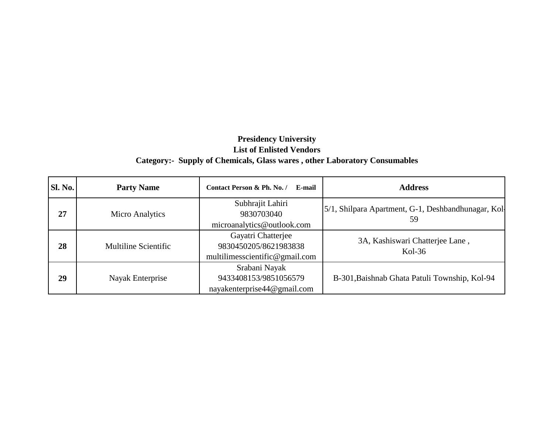| <b>Sl. No.</b> | <b>Party Name</b>    | Contact Person & Ph. No. /<br>E-mail                                          | <b>Address</b>                                             |
|----------------|----------------------|-------------------------------------------------------------------------------|------------------------------------------------------------|
| 27             | Micro Analytics      | Subhrajit Lahiri<br>9830703040<br>microanalytics@outlook.com                  | [5/1, Shilpara Apartment, G-1, Deshbandhunagar, Kol]<br>59 |
| 28             | Multiline Scientific | Gayatri Chatterjee<br>9830450205/8621983838<br>multilimesscientific@gmail.com | 3A, Kashiswari Chatterjee Lane,<br>$Kol-36$                |
| 29             | Nayak Enterprise     | Srabani Nayak<br>9433408153/9851056579<br>nayakenterprise44@gmail.com         | B-301, Baishnab Ghata Patuli Township, Kol-94              |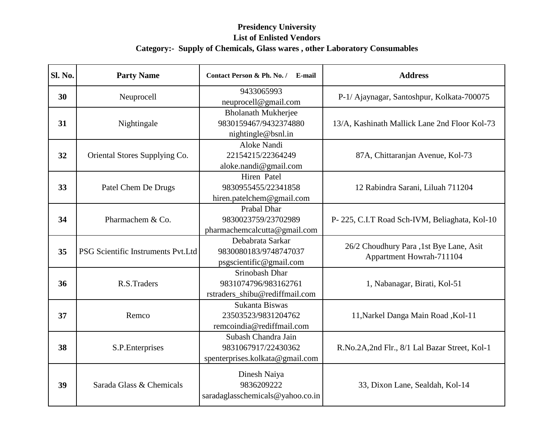| Sl. No. | <b>Party Name</b>                  | Contact Person & Ph. No. /<br>E-mail                                          | <b>Address</b>                                                      |
|---------|------------------------------------|-------------------------------------------------------------------------------|---------------------------------------------------------------------|
| 30      | Neuprocell                         | 9433065993<br>neuprocell@gmail.com                                            | P-1/ Ajaynagar, Santoshpur, Kolkata-700075                          |
| 31      | Nightingale                        | <b>Bholanath Mukherjee</b><br>9830159467/9432374880<br>nightingle@bsnl.in     | 13/A, Kashinath Mallick Lane 2nd Floor Kol-73                       |
| 32      | Oriental Stores Supplying Co.      | Aloke Nandi<br>22154215/22364249<br>aloke.nandi@gmail.com                     | 87A, Chittaranjan Avenue, Kol-73                                    |
| 33      | Patel Chem De Drugs                | Hiren Patel<br>9830955455/22341858<br>hiren.patelchem@gmail.com               | 12 Rabindra Sarani, Liluah 711204                                   |
| 34      | Pharmachem & Co.                   | Prabal Dhar<br>9830023759/23702989<br>pharmachemcalcutta@gmail.com            | P-225, C.I.T Road Sch-IVM, Beliaghata, Kol-10                       |
| 35      | PSG Scientific Instruments Pvt.Ltd | Debabrata Sarkar<br>9830080183/9748747037<br>psgscientific@gmail.com          | 26/2 Choudhury Para, 1st Bye Lane, Asit<br>Appartment Howrah-711104 |
| 36      | R.S.Traders                        | Srinobash Dhar<br>9831074796/983162761<br>rstraders_shibu@rediffmail.com      | 1, Nabanagar, Birati, Kol-51                                        |
| 37      | Remco                              | Sukanta Biswas<br>23503523/9831204762<br>remcoindia@rediffmail.com            | 11, Narkel Danga Main Road, Kol-11                                  |
| 38      | S.P.Enterprises                    | Subash Chandra Jain<br>9831067917/22430362<br>spenterprises.kolkata@gmail.com | R.No.2A,2nd Flr., 8/1 Lal Bazar Street, Kol-1                       |
| 39      | Sarada Glass & Chemicals           | Dinesh Naiya<br>9836209222<br>saradaglasschemicals@yahoo.co.in                | 33, Dixon Lane, Sealdah, Kol-14                                     |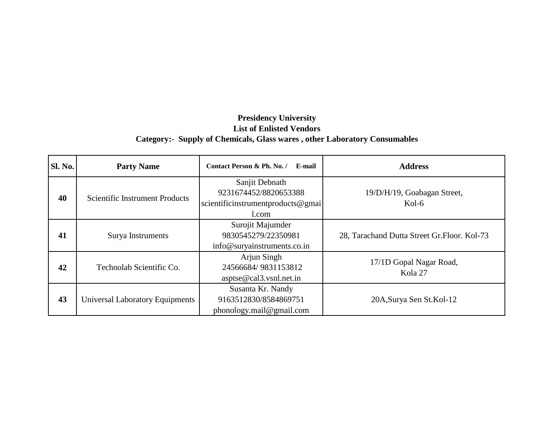| <b>Sl. No.</b> | <b>Party Name</b>               | Contact Person & Ph. No. / E-mail                                                     | <b>Address</b>                               |
|----------------|---------------------------------|---------------------------------------------------------------------------------------|----------------------------------------------|
| 40             | Scientific Instrument Products  | Sanjit Debnath<br>9231674452/8820653388<br>scientificinstrumentproducts@gmai<br>1.com | 19/D/H/19, Goabagan Street,<br>$Kol-6$       |
| 41             | Surya Instruments               | Surojit Majumder<br>9830545279/22350981<br>info@suryainstruments.co.in                | 28, Tarachand Dutta Street Gr. Floor. Kol-73 |
| 42             | Technolab Scientific Co.        | Arjun Singh<br>24566684/9831153812<br>$a$ sptse@cal3.vsnl.net.in                      | 17/1D Gopal Nagar Road,<br>Kola 27           |
| 43             | Universal Laboratory Equipments | Susanta Kr. Nandy<br>9163512830/8584869751<br>phonology.mail@gmail.com                | 20A, Surya Sen St. Kol-12                    |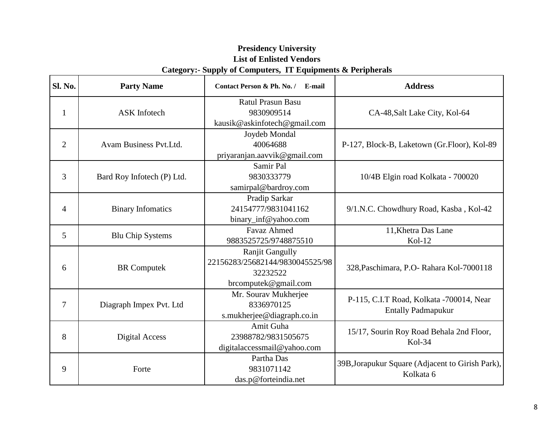| Sl. No.        | <b>Party Name</b>          | Contact Person & Ph. No. / E-mail | <b>Address</b>                                   |
|----------------|----------------------------|-----------------------------------|--------------------------------------------------|
|                |                            | <b>Ratul Prasun Basu</b>          |                                                  |
| $\mathbf{1}$   | <b>ASK</b> Infotech        | 9830909514                        | CA-48, Salt Lake City, Kol-64                    |
|                |                            | kausik@askinfotech@gmail.com      |                                                  |
|                |                            | Joydeb Mondal                     |                                                  |
| $\overline{2}$ | Avam Business Pvt.Ltd.     | 40064688                          | P-127, Block-B, Laketown (Gr.Floor), Kol-89      |
|                |                            | priyaranjan.aavvik@gmail.com      |                                                  |
|                |                            | Samir Pal                         |                                                  |
| 3              | Bard Roy Infotech (P) Ltd. | 9830333779                        | 10/4B Elgin road Kolkata - 700020                |
|                |                            | samirpal@bardroy.com              |                                                  |
|                |                            | Pradip Sarkar                     |                                                  |
| $\overline{4}$ | <b>Binary Infomatics</b>   | 24154777/9831041162               | 9/1.N.C. Chowdhury Road, Kasba, Kol-42           |
|                |                            | binary_inf@yahoo.com              |                                                  |
| 5              |                            | <b>Favaz Ahmed</b>                | 11, Khetra Das Lane                              |
|                | <b>Blu Chip Systems</b>    | 9883525725/9748875510             | $Kol-12$                                         |
|                |                            | <b>Ranjit Gangully</b>            |                                                  |
| 6              | <b>BR</b> Computek         | 22156283/25682144/9830045525/98   | 328, Paschimara, P.O- Rahara Kol-7000118         |
|                |                            | 32232522                          |                                                  |
|                |                            | brcomputek@gmail.com              |                                                  |
|                |                            | Mr. Sourav Mukherjee              | P-115, C.I.T Road, Kolkata -700014, Near         |
| 7              | Diagraph Impex Pvt. Ltd    | 8336970125                        | <b>Entally Padmapukur</b>                        |
|                |                            | s.mukherjee@diagraph.co.in        |                                                  |
|                |                            | Amit Guha                         | 15/17, Sourin Roy Road Behala 2nd Floor,         |
| 8              | Digital Access             | 23988782/9831505675               | Kol-34                                           |
|                |                            | digitalaccessmail@yahoo.com       |                                                  |
|                |                            | Partha Das                        | 39B, Jorapukur Square (Adjacent to Girish Park), |
| 9              | Forte                      | 9831071142                        | Kolkata 6                                        |
|                |                            | das.p@forteindia.net              |                                                  |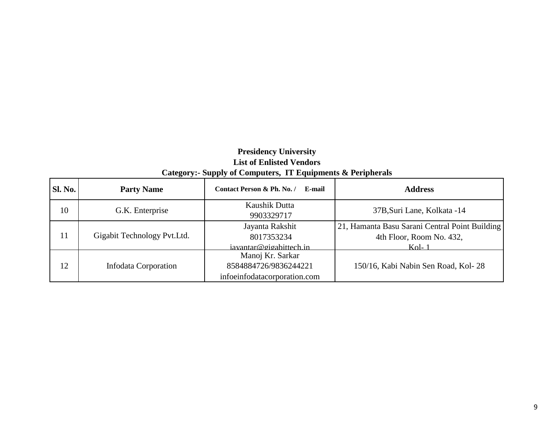| <b>Sl. No.</b> | <b>Party Name</b>            | Contact Person & Ph. No. /<br>E-mail                                      | <b>Address</b>                                                                        |
|----------------|------------------------------|---------------------------------------------------------------------------|---------------------------------------------------------------------------------------|
| 10             | G.K. Enterprise              | Kaushik Dutta<br>9903329717                                               | 37B, Suri Lane, Kolkata -14                                                           |
| 11             | Gigabit Technology Pvt. Ltd. | Jayanta Rakshit<br>8017353234<br>iavantar@gigabittech.in                  | 21, Hamanta Basu Sarani Central Point Building<br>4th Floor, Room No. 432,<br>$Kol-1$ |
| 12             | Infodata Corporation         | Manoj Kr. Sarkar<br>8584884726/9836244221<br>infoeinfodatacorporation.com | 150/16, Kabi Nabin Sen Road, Kol-28                                                   |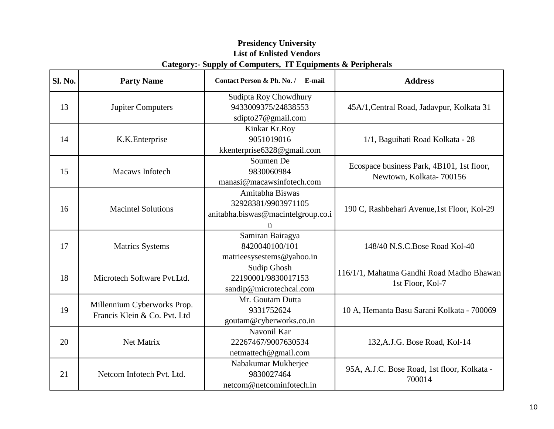| <b>Sl. No.</b> | <b>Party Name</b>                                           | Contact Person & Ph. No. / E-mail                                                 | <b>Address</b>                                                       |
|----------------|-------------------------------------------------------------|-----------------------------------------------------------------------------------|----------------------------------------------------------------------|
| 13             | <b>Jupiter Computers</b>                                    | Sudipta Roy Chowdhury<br>9433009375/24838553<br>sdipto27@gmail.com                | 45A/1, Central Road, Jadavpur, Kolkata 31                            |
| 14             | K.K. Enterprise                                             | Kinkar Kr.Roy<br>9051019016<br>kkenterprise6328@gmail.com                         | 1/1, Baguihati Road Kolkata - 28                                     |
| 15             | Macaws Infotech                                             | Soumen De<br>9830060984<br>manasi@macawsinfotech.com                              | Ecospace business Park, 4B101, 1st floor,<br>Newtown, Kolkata-700156 |
| 16             | <b>Macintel Solutions</b>                                   | Amitabha Biswas<br>32928381/9903971105<br>anitabha.biswas@macintelgroup.co.i<br>n | 190 C, Rashbehari Avenue, 1st Floor, Kol-29                          |
| 17             | <b>Matrics Systems</b>                                      | Samiran Bairagya<br>8420040100/101<br>matrieesysestems@yahoo.in                   | 148/40 N.S.C.Bose Road Kol-40                                        |
| 18             | Microtech Software Pvt.Ltd.                                 | Sudip Ghosh<br>22190001/9830017153<br>sandip@microtechcal.com                     | 116/1/1, Mahatma Gandhi Road Madho Bhawan<br>1st Floor, Kol-7        |
| 19             | Millennium Cyberworks Prop.<br>Francis Klein & Co. Pvt. Ltd | Mr. Goutam Dutta<br>9331752624<br>goutam@cyberworks.co.in                         | 10 A, Hemanta Basu Sarani Kolkata - 700069                           |
| 20             | Net Matrix                                                  | Navonil Kar<br>22267467/9007630534<br>netmattech@gmail.com                        | 132, A.J.G. Bose Road, Kol-14                                        |
| 21             | Netcom Infotech Pvt. Ltd.                                   | Nabakumar Mukherjee<br>9830027464<br>netcom@netcominfotech.in                     | 95A, A.J.C. Bose Road, 1st floor, Kolkata -<br>700014                |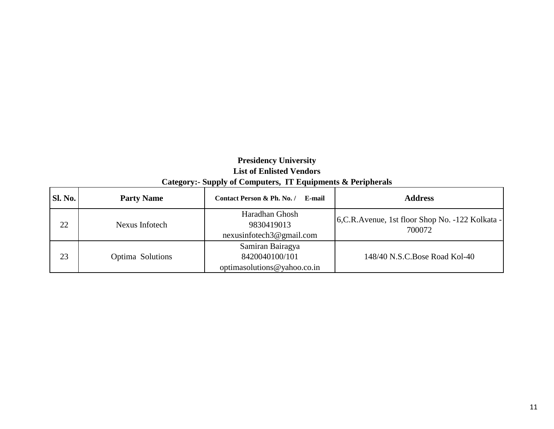| Category:- Suppry of Computers, 11 Equipments $\alpha$ refiguerals |  |  |
|--------------------------------------------------------------------|--|--|
|                                                                    |  |  |

| <b>Sl. No.</b> | <b>Party Name</b> | Contact Person & Ph. No. /<br>E-mail                                 | <b>Address</b>                                              |
|----------------|-------------------|----------------------------------------------------------------------|-------------------------------------------------------------|
| 22             | Nexus Infotech    | Haradhan Ghosh<br>9830419013<br>nexusinfotech3@gmail.com             | 6, C.R. Avenue, 1st floor Shop No. -122 Kolkata -<br>700072 |
| 23             | Optima Solutions  | Samiran Bairagya<br>8420040100/101<br>optimas olutions @ yahoo.co.in | 148/40 N.S.C. Bose Road Kol-40                              |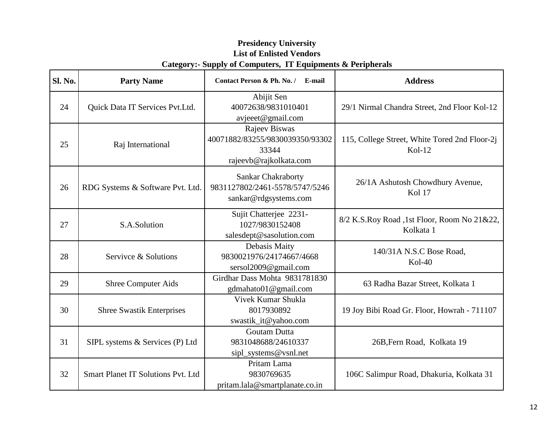| <b>Sl. No.</b> | <b>Party Name</b>                         | Contact Person & Ph. No. / E-mail                                                    | <b>Address</b>                                            |
|----------------|-------------------------------------------|--------------------------------------------------------------------------------------|-----------------------------------------------------------|
| 24             | Quick Data IT Services Pvt.Ltd.           | Abijit Sen<br>40072638/9831010401<br>avjeeet@gmail.com                               | 29/1 Nirmal Chandra Street, 2nd Floor Kol-12              |
| 25             | Raj International                         | Rajeev Biswas<br>40071882/83255/9830039350/93302<br>33344<br>rajeevb@rajkolkata.com  | 115, College Street, White Tored 2nd Floor-2j<br>$Kol-12$ |
| 26             | RDG Systems & Software Pvt. Ltd.          | <b>Sankar Chakraborty</b><br>9831127802/2461-5578/5747/5246<br>sankar@rdgsystems.com | 26/1A Ashutosh Chowdhury Avenue,<br><b>Kol 17</b>         |
| 27             | S.A.Solution                              | Sujit Chatterjee 2231-<br>1027/9830152408<br>salesdept@sasolution.com                | 8/2 K.S.Roy Road ,1st Floor, Room No 21&22,<br>Kolkata 1  |
| 28             | Servivce & Solutions                      | Debasis Maity<br>9830021976/24174667/4668<br>sersol2009@gmail.com                    | 140/31A N.S.C Bose Road,<br>$Kol-40$                      |
| 29             | <b>Shree Computer Aids</b>                | Girdhar Dass Mohta 9831781830<br>gdmahato01@gmail.com                                | 63 Radha Bazar Street, Kolkata 1                          |
| 30             | <b>Shree Swastik Enterprises</b>          | Vivek Kumar Shukla<br>8017930892<br>swastik_it@yahoo.com                             | 19 Joy Bibi Road Gr. Floor, Howrah - 711107               |
| 31             | SIPL systems & Services (P) Ltd           | <b>Goutam Dutta</b><br>9831048688/24610337<br>sipl_systems@vsnl.net                  | 26B, Fern Road, Kolkata 19                                |
| 32             | <b>Smart Planet IT Solutions Pvt. Ltd</b> | Pritam Lama<br>9830769635<br>pritam.lala@smartplanate.co.in                          | 106C Salimpur Road, Dhakuria, Kolkata 31                  |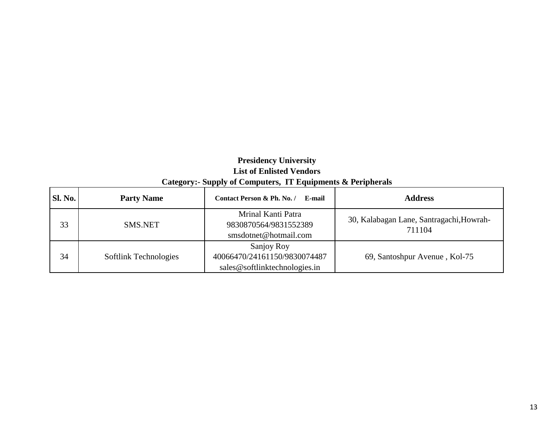# **Presidency University List of Enlisted Vendors**

| Category:- Supply of Computers, IT Equipments & Peripherals |  |  |
|-------------------------------------------------------------|--|--|
|                                                             |  |  |

| <b>Sl. No.</b> | <b>Party Name</b>     | Contact Person & Ph. No. /<br>E-mail                                        | <b>Address</b>                                     |
|----------------|-----------------------|-----------------------------------------------------------------------------|----------------------------------------------------|
| 33             | <b>SMS.NET</b>        | Mrinal Kanti Patra<br>9830870564/9831552389<br>smsdotnet@hotmail.com        | 30, Kalabagan Lane, Santragachi, Howrah-<br>711104 |
| 34             | Softlink Technologies | Sanjoy Roy<br>40066470/24161150/9830074487<br>sales@softlinktechnologies.in | 69, Santoshpur Avenue, Kol-75                      |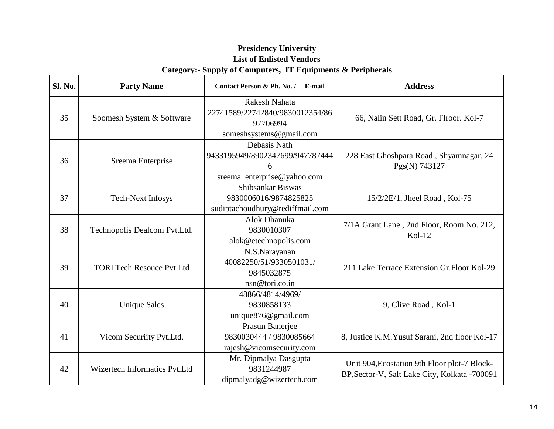| <b>Sl. No.</b> | <b>Party Name</b>                                                                                        | Contact Person & Ph. No. / E-mail                                                       | <b>Address</b>                                                                                |
|----------------|----------------------------------------------------------------------------------------------------------|-----------------------------------------------------------------------------------------|-----------------------------------------------------------------------------------------------|
| 35             | Soomesh System & Software                                                                                | Rakesh Nahata<br>22741589/22742840/9830012354/86<br>97706994<br>someshsystems@gmail.com | 66, Nalin Sett Road, Gr. Flroor. Kol-7                                                        |
| 36             | Debasis Nath<br>9433195949/8902347699/947787444<br>Sreema Enterprise<br>6<br>sreema_enterprise@yahoo.com |                                                                                         | 228 East Ghoshpara Road, Shyamnagar, 24<br>Pgs(N) 743127                                      |
| 37             | <b>Tech-Next Infosys</b>                                                                                 | Shibsankar Biswas<br>9830006016/9874825825<br>sudiptachoudhury@rediffmail.com           | 15/2/2E/1, Jheel Road, Kol-75                                                                 |
| 38             | Technopolis Dealcom Pvt.Ltd.                                                                             | Alok Dhanuka<br>9830010307<br>alok@etechnopolis.com                                     | 7/1A Grant Lane, 2nd Floor, Room No. 212,<br>$Kol-12$                                         |
| 39             | <b>TORI Tech Resouce Pvt.Ltd</b>                                                                         | N.S.Narayanan<br>40082250/51/9330501031/<br>9845032875<br>nsn@tori.co.in                | 211 Lake Terrace Extension Gr. Floor Kol-29                                                   |
| 40             | <b>Unique Sales</b>                                                                                      | 48866/4814/4969/<br>9830858133<br>unique876@gmail.com                                   | 9, Clive Road, Kol-1                                                                          |
| 41             | Vicom Securiity Pvt.Ltd.                                                                                 | Prasun Banerjee<br>9830030444 / 9830085664<br>rajesh@vicomsecurity.com                  | 8, Justice K.M. Yusuf Sarani, 2nd floor Kol-17                                                |
| 42             | Wizertech Informatics Pvt.Ltd                                                                            | Mr. Dipmalya Dasgupta<br>9831244987<br>dipmalyadg@wizertech.com                         | Unit 904, Ecostation 9th Floor plot-7 Block-<br>BP, Sector-V, Salt Lake City, Kolkata -700091 |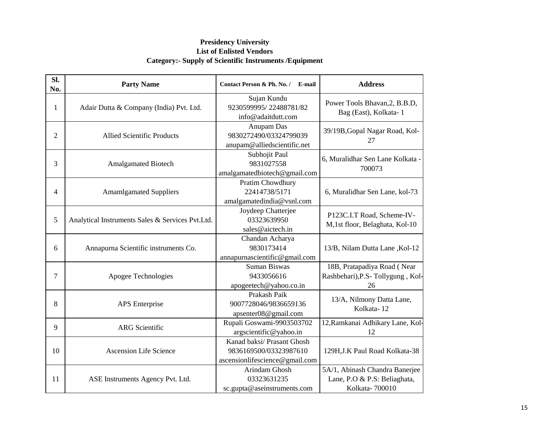| Sl.<br>No.     | <b>Party Name</b>                                | Contact Person & Ph. No. / E-mail                                                      | <b>Address</b>                                                                   |
|----------------|--------------------------------------------------|----------------------------------------------------------------------------------------|----------------------------------------------------------------------------------|
| 1              | Adair Dutta & Company (India) Pvt. Ltd.          | Sujan Kundu<br>9230599995/22488781/82<br>info@adaitdutt.com                            | Power Tools Bhavan, 2, B.B.D,<br>Bag (East), Kolkata-1                           |
| $\overline{2}$ | <b>Allied Scientific Products</b>                | Anupam Das<br>9830272490/03324799039<br>anupam@alliedscientific.net                    | 39/19B, Gopal Nagar Road, Kol-<br>27                                             |
| 3              | <b>Amalgamated Biotech</b>                       | Subhojit Paul<br>9831027558<br>amalgamatedbiotech@gmail.com                            | 6, Muralidhar Sen Lane Kolkata -<br>700073                                       |
| 4              | <b>Amamlgamated Suppliers</b>                    | Pratim Chowdhury<br>22414738/5171<br>amalgamatedindia@vsnl.com                         | 6, Muralidhar Sen Lane, kol-73                                                   |
| 5              | Analytical Instruments Sales & Services Pvt.Ltd. | Joydeep Chatterjee<br>03323639950<br>sales@aictech.in                                  | P123C.I.T Road, Scheme-IV-<br>M,1st floor, Belaghata, Kol-10                     |
| 6              | Annapurna Scientific instruments Co.             | Chandan Acharya<br>9830173414<br>annapurnascientific@gmail.com                         | 13/B, Nilam Dutta Lane, Kol-12                                                   |
| 7              | Apogee Technologies                              | <b>Suman Biswas</b><br>9433056616<br>apogeetech@yahoo.co.in                            | 18B, Pratapadiya Road (Near<br>Rashbehari), P.S-Tollygung, Kol-<br>26            |
| 8              | <b>APS</b> Enterprise                            | Prakash Paik<br>9007728046/9836659136<br>apsenter08@gmail.com                          | 13/A, Nilmony Datta Lane,<br>Kolkata-12                                          |
| 9              | <b>ARG</b> Scientific                            | Rupali Goswami-9903503702<br>argscientific@yahoo.in                                    | 12, Ramkanai Adhikary Lane, Kol-<br>12                                           |
| 10             | <b>Ascension Life Science</b>                    | Kanad baksi/ Prasant Ghosh<br>9836169500/03323987610<br>ascensionlifescience@gmail.com | 129H, J.K Paul Road Kolkata-38                                                   |
| 11             | ASE Instruments Agency Pvt. Ltd.                 | Arindam Ghosh<br>03323631235<br>sc.gupta@aseinstruments.com                            | 5A/1, Abinash Chandra Banerjee<br>Lane, P.O & P.S: Beliaghata,<br>Kolkata-700010 |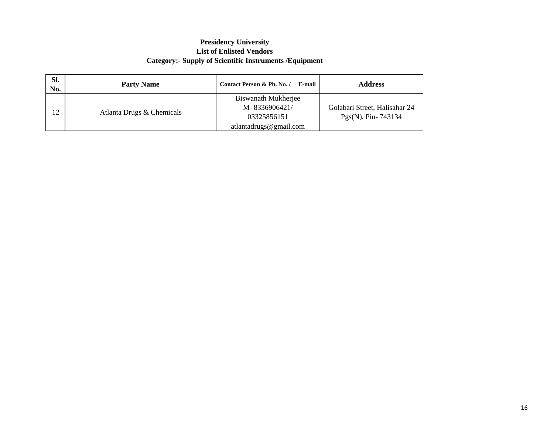| Sl.<br>No. | <b>Party Name</b>         | Contact Person & Ph. No. /<br>E-mail                | <b>Address</b>                                         |
|------------|---------------------------|-----------------------------------------------------|--------------------------------------------------------|
| 12         | Atlanta Drugs & Chemicals | Biswanath Mukherjee<br>M-8336906421/<br>03325856151 | Golabari Street, Halisahar 24<br>$Pgs(N)$ , Pin-743134 |
|            |                           | atlantadrugs@gmail.com                              |                                                        |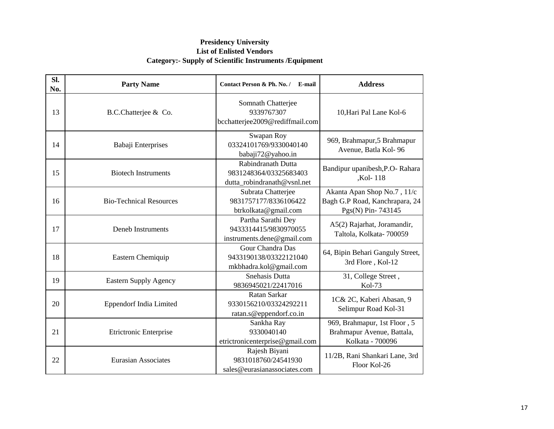| SI.<br>No. | <b>Party Name</b>              | Contact Person & Ph. No. / E-mail                                           | <b>Address</b>                                                                     |
|------------|--------------------------------|-----------------------------------------------------------------------------|------------------------------------------------------------------------------------|
| 13         | B.C.Chatterjee & Co.           | Somnath Chatterjee<br>9339767307<br>bcchatterjee2009@rediffmail.com         | 10, Hari Pal Lane Kol-6                                                            |
| 14         | Babaji Enterprises             | Swapan Roy<br>03324101769/9330040140<br>babaji72@yahoo.in                   | 969, Brahmapur, 5 Brahmapur<br>Avenue, Batla Kol-96                                |
| 15         | <b>Biotech Instruments</b>     | Rabindranath Dutta<br>9831248364/03325683403<br>dutta_robindranath@vsnl.net | Bandipur upanibesh, P.O- Rahara<br>,Kol-118                                        |
| 16         | <b>Bio-Technical Resources</b> | Subrata Chatterjee<br>9831757177/8336106422<br>btrkolkata@gmail.com         | Akanta Apan Shop No.7, 11/c<br>Bagh G.P Road, Kanchrapara, 24<br>Pgs(N) Pin-743145 |
| 17         | <b>Deneb Instruments</b>       | Partha Sarathi Dey<br>9433314415/9830970055<br>instruments.dene@gmail.com   | A5(2) Rajarhat, Joramandir,<br>Taltola, Kolkata-700059                             |
| 18         | Eastern Chemiquip              | Gour Chandra Das<br>9433190138/03322121040<br>mkbhadra.kol@gmail.com        | 64, Bipin Behari Ganguly Street,<br>3rd Flore, Kol-12                              |
| 19         | <b>Eastern Supply Agency</b>   | Snehasis Dutta<br>9836945021/22417016                                       | 31, College Street,<br>Kol-73                                                      |
| 20         | <b>Eppendorf India Limited</b> | Ratan Sarkar<br>9330156210/03324292211<br>ratan.s@eppendorf.co.in           | 1C& 2C, Kaberi Abasan, 9<br>Selimpur Road Kol-31                                   |
| 21         | <b>Etrictronic Enterprise</b>  | Sankha Ray<br>9330040140<br>etrictronicenterprise@gmail.com                 | 969, Brahmapur, 1st Floor, 5<br>Brahmapur Avenue, Battala,<br>Kolkata - 700096     |
| 22         | <b>Eurasian Associates</b>     | Rajesh Biyani<br>9831018760/24541930<br>sales@eurasianassociates.com        | 11/2B, Rani Shankari Lane, 3rd<br>Floor Kol-26                                     |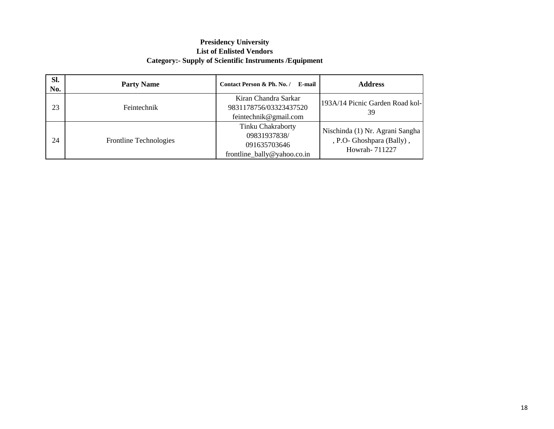| SI.<br>No. | <b>Party Name</b>      | Contact Person & Ph. No. /<br>E-mail                                                    | <b>Address</b>                                                                |
|------------|------------------------|-----------------------------------------------------------------------------------------|-------------------------------------------------------------------------------|
| 23         | Feintechnik            | Kiran Chandra Sarkar<br>9831178756/03323437520<br>feintechnik@gmail.com                 | 193A/14 Picnic Garden Road kol-<br>39                                         |
| 24         | Frontline Technologies | <b>Tinku Chakraborty</b><br>09831937838/<br>091635703646<br>frontline_bally@yahoo.co.in | Nischinda (1) Nr. Agrani Sangha<br>, P.O. Ghoshpara (Bally),<br>Howrah-711227 |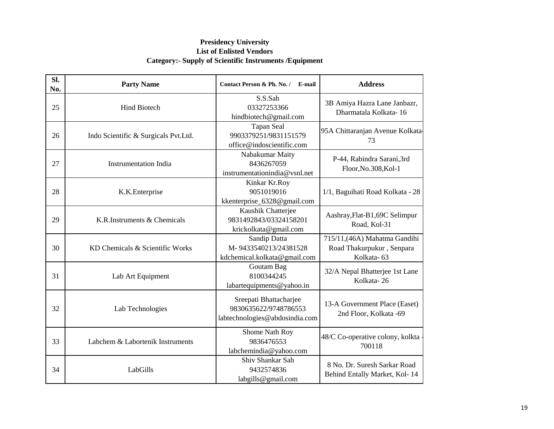| Sl.<br>No. | <b>Party Name</b>                    | Contact Person & Ph. No. / E-mail                                                 | <b>Address</b>                                                           |
|------------|--------------------------------------|-----------------------------------------------------------------------------------|--------------------------------------------------------------------------|
| 25         | <b>Hind Biotech</b>                  | S.S.Sah<br>03327253366<br>hindbiotech@gmail.com                                   | 3B Amiya Hazra Lane Janbazr,<br>Dharmatala Kolkata-16                    |
| 26         | Indo Scientific & Surgicals Pvt.Ltd. | <b>Tapan Seal</b><br>9903379251/9831151579<br>office@indoscientific.com           | 95A Chittaranjan Avenue Kolkata-<br>73                                   |
| 27         | <b>Instrumentation India</b>         | Nabakumar Maity<br>8436267059<br>instrumentationindia@vsnl.net                    | P-44, Rabindra Sarani,3rd<br>Floor, No.308, Kol-1                        |
| 28         | K.K.Enterprise                       | Kinkar Kr.Roy<br>9051019016<br>kkenterprise_6328@gmail.com                        | 1/1, Baguihati Road Kolkata - 28                                         |
| 29         | K.R.Instruments & Chemicals          | Kaushik Chatterjee<br>9831492843/03324158201<br>krickolkata@gmail.com             | Aashray, Flat-B1, 69C Selimpur<br>Road, Kol-31                           |
| 30         | KD Chemicals & Scientific Works      | Sandip Datta<br>M-9433540213/24381528<br>kdchemical.kolkata@gmail.com             | 715/11, (46A) Mahatma Gandihi<br>Road Thakurpukur, Senpara<br>Kolkata-63 |
| 31         | Lab Art Equipment                    | Goutam Bag<br>8100344245<br>labartequipments@yahoo.in                             | 32/A Nepal Bhatterjee 1st Lane<br>Kolkata-26                             |
| 32         | Lab Technologies                     | Sreepati Bhattacharjee<br>9830635622/9748786553<br>labtechnologies@abdosindia.com | 13-A Government Place (Easet)<br>2nd Floor, Kolkata -69                  |
| 33         | Labchem & Labortenik Instruments     | Shome Nath Roy<br>9836476553<br>labchemindia@yahoo.com                            | 48/C Co-operative colony, kolkta<br>700118                               |
| 34         | LabGills                             | Shiv Shankar Sah<br>9432574836<br>labgills@gmail.com                              | 8 No. Dr. Suresh Sarkar Road<br>Behind Entally Market, Kol-14            |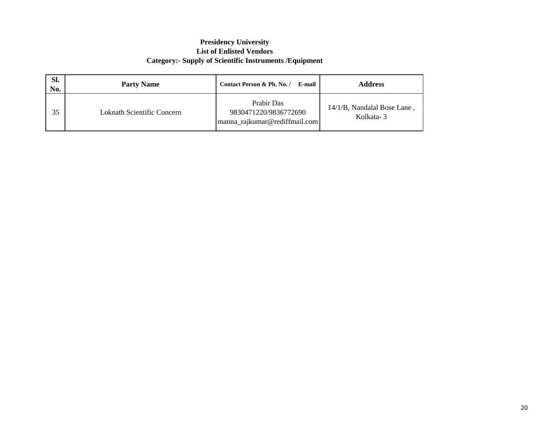| SI.<br>No. | <b>Party Name</b>                 | Contact Person & Ph. No. /<br>E-mail                                 | <b>Address</b>                           |
|------------|-----------------------------------|----------------------------------------------------------------------|------------------------------------------|
| 35         | <b>Loknath Scientific Concern</b> | Prabir Das<br>9830471220/9836772690<br>manna_rajkumar@rediffmail.com | 14/1/B, Nandalal Bose Lane,<br>Kolkata-3 |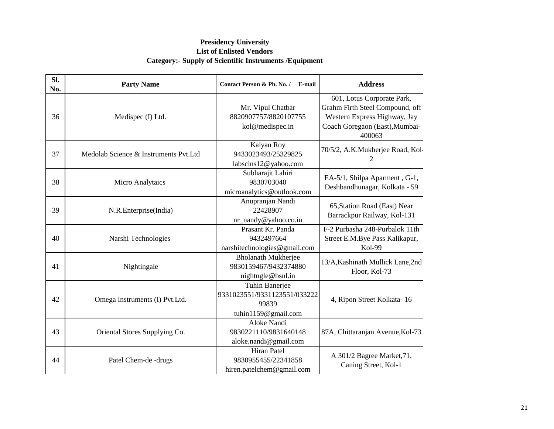| SI.<br>No. | <b>Party Name</b>                     | Contact Person & Ph. No. / E-mail                                              | <b>Address</b>                                                                                                                            |
|------------|---------------------------------------|--------------------------------------------------------------------------------|-------------------------------------------------------------------------------------------------------------------------------------------|
| 36         | Medispec (I) Ltd.                     | Mr. Vipul Chatbar<br>8820907757/8820107755<br>kol@medispec.in                  | 601, Lotus Corporate Park,<br>Grahm Firth Steel Compound, off<br>Western Express Highway, Jay<br>Coach Goregaon (East), Mumbai-<br>400063 |
| 37         | Medolab Science & Instruments Pvt.Ltd | Kalyan Roy<br>9433023493/25329825<br>labscins12@yahoo.com                      | 70/5/2, A.K.Mukherjee Road, Kol-<br>2                                                                                                     |
| 38         | <b>Micro Analytaics</b>               | Subharajit Lahiri<br>9830703040<br>microanalytics@outlook.com                  | EA-5/1, Shilpa Aparment, G-1,<br>Deshbandhunagar, Kolkata - 59                                                                            |
| 39         | N.R.Enterprise(India)                 | Anupranjan Nandi<br>22428907<br>nr_nandy@yahoo.co.in                           | 65, Station Road (East) Near<br>Barrackpur Railway, Kol-131                                                                               |
| 40         | Narshi Technologies                   | Prasant Kr. Panda<br>9432497664<br>narshitechnologies@gmail.com                | F-2 Purbasha 248-Purbalok 11th<br>Street E.M.Bye Pass Kalikapur,<br><b>Kol-99</b>                                                         |
| 41         | Nightingale                           | <b>Bholanath Mukherjee</b><br>9830159467/9432374880<br>nightngle@bsnl.in       | 13/A, Kashinath Mullick Lane, 2nd<br>Floor, Kol-73                                                                                        |
| 42         | Omega Instruments (I) Pvt.Ltd.        | Tuhin Banerjee<br>9331023551/9331123551/033222<br>99839<br>tuhin1159@gmail.com | 4, Ripon Street Kolkata-16                                                                                                                |
| 43         | Oriental Stores Supplying Co.         | Aloke Nandi<br>9830221110/9831640148<br>aloke.nandi@gmail.com                  | 87A, Chittaranjan Avenue, Kol-73                                                                                                          |
| 44         | Patel Chem-de -drugs                  | <b>Hiran Patel</b><br>9830955455/22341858<br>hiren.patelchem@gmail.com         | A 301/2 Bagree Market, 71,<br>Caning Street, Kol-1                                                                                        |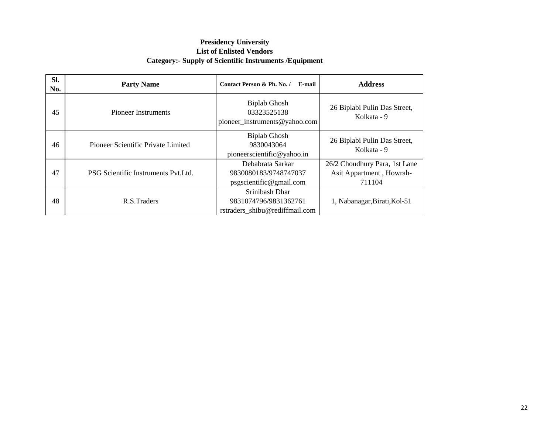| Sl.<br>No. | <b>Party Name</b>                    | Contact Person & Ph. No. /<br>E-mail                                      | <b>Address</b>                                                      |
|------------|--------------------------------------|---------------------------------------------------------------------------|---------------------------------------------------------------------|
| 45         | Pioneer Instruments                  | <b>Biplab Ghosh</b><br>03323525138<br>pioneer_instruments@yahoo.com       | 26 Biplabi Pulin Das Street,<br>Kolkata - 9                         |
| 46         | Pioneer Scientific Private Limited   | <b>Biplab Ghosh</b><br>9830043064<br>pioneerscientific@yahoo.in           | 26 Biplabi Pulin Das Street,<br>Kolkata - 9                         |
| 47         | PSG Scientific Instruments Pyt. Ltd. | Debabrata Sarkar<br>9830080183/9748747037<br>psgscientific@gmail.com      | 26/2 Choudhury Para, 1st Lane<br>Asit Appartment, Howrah-<br>711104 |
| 48         | R.S.Traders                          | Srinibash Dhar<br>9831074796/9831362761<br>rstraders_shibu@rediffmail.com | 1, Nabanagar, Birati, Kol-51                                        |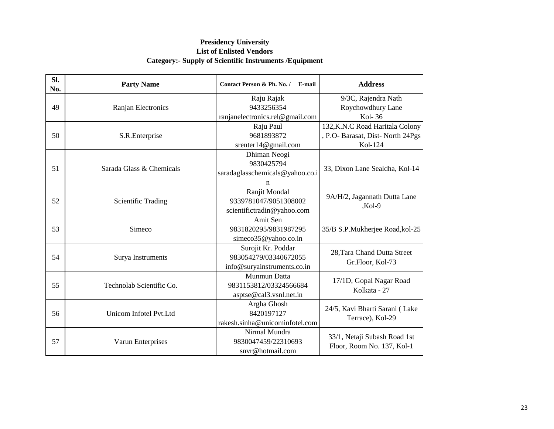| <b>Party Name</b>        | Contact Person & Ph. No. /<br>E-mail | <b>Address</b>                   |
|--------------------------|--------------------------------------|----------------------------------|
|                          | Raju Rajak                           | 9/3C, Rajendra Nath              |
| Ranjan Electronics       | 9433256354                           | Roychowdhury Lane                |
|                          | ranjanelectronics.rel@gmail.com      | Kol-36                           |
|                          | Raju Paul                            | 132, K.N.C Road Haritala Colony  |
| S.R.Enterprise           | 9681893872                           | , P.O- Barasat, Dist-North 24Pgs |
|                          | srenter14@gmail.com                  | Kol-124                          |
|                          | Dhiman Neogi                         |                                  |
|                          | 9830425794                           |                                  |
|                          | saradaglasschemicals@yahoo.co.i      | 33, Dixon Lane Sealdha, Kol-14   |
|                          | n                                    |                                  |
|                          | Ranjit Mondal                        |                                  |
| Scientific Trading       | 9339781047/9051308002                | 9A/H/2, Jagannath Dutta Lane     |
|                          | scientifictradin@yahoo.com           | $Kol-9$                          |
|                          | Amit Sen                             |                                  |
| Simeco                   | 9831820295/9831987295                | 35/B S.P.Mukherjee Road, kol-25  |
|                          | simeco35@yahoo.co.in                 |                                  |
|                          | Surojit Kr. Poddar                   | 28, Tara Chand Dutta Street      |
| Surya Instruments        | 983054279/03340672055                | Gr.Floor, Kol-73                 |
|                          | info@suryainstruments.co.in          |                                  |
|                          | Munmun Datta                         | 17/1D, Gopal Nagar Road          |
| Technolab Scientific Co. | 9831153812/03324566684               | Kolkata - 27                     |
|                          | asptse@cal3.vsnl.net.in              |                                  |
|                          | Argha Ghosh                          | 24/5, Kavi Bharti Sarani (Lake   |
| Unicom Infotel Pvt.Ltd   | 8420197127                           |                                  |
|                          | rakesh.sinha@unicominfotel.com       | Terrace), Kol-29                 |
|                          | Nirmal Mundra                        |                                  |
| Varun Enterprises        | 9830047459/22310693                  | 33/1, Netaji Subash Road 1st     |
|                          | snvr@hotmail.com                     | Floor, Room No. 137, Kol-1       |
|                          | Sarada Glass & Chemicals             |                                  |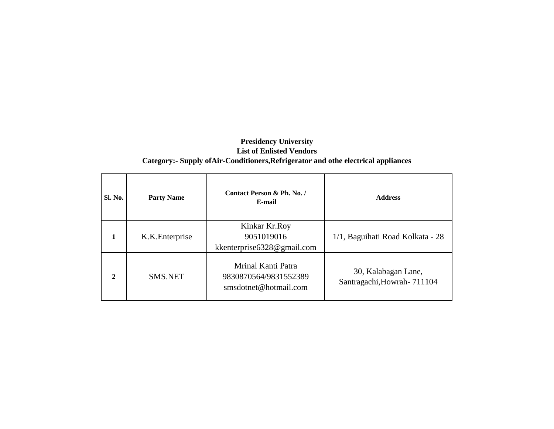#### **Presidency University List of Enlisted Vendors Category:- Supply ofAir-Conditioners,Refrigerator and othe electrical appliances**

| Sl. No.      | <b>Party Name</b> | Contact Person & Ph. No. /<br>E-mail                                 | <b>Address</b>                                    |
|--------------|-------------------|----------------------------------------------------------------------|---------------------------------------------------|
|              | K.K. Enterprise   | Kinkar Kr.Roy<br>9051019016<br>kkenterprise 6328@gmail.com           | 1/1, Baguihati Road Kolkata - 28                  |
| $\mathbf{2}$ | <b>SMS.NET</b>    | Mrinal Kanti Patra<br>9830870564/9831552389<br>smsdotnet@hotmail.com | 30, Kalabagan Lane,<br>Santragachi, Howrah-711104 |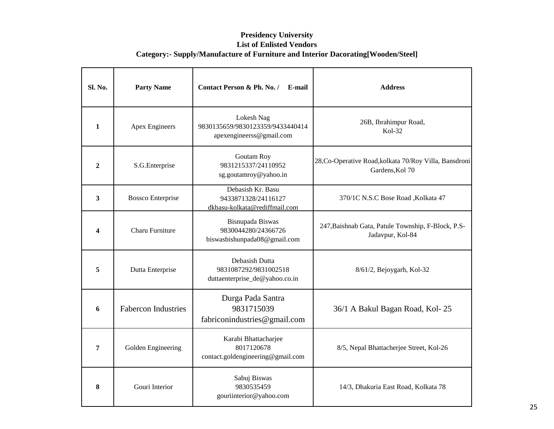| Sl. No.                 | <b>Party Name</b>          | Contact Person & Ph. No. /<br>E-mail                                       | <b>Address</b>                                                            |
|-------------------------|----------------------------|----------------------------------------------------------------------------|---------------------------------------------------------------------------|
| $\mathbf{1}$            | <b>Apex Engineers</b>      | Lokesh Nag<br>9830135659/9830123359/9433440414<br>apexengineerss@gmail.com | 26B, Ibrahimpur Road,<br>$Kol-32$                                         |
| $\boldsymbol{2}$        | S.G.Enterprise             | Goutam Roy<br>9831215337/24110952<br>sg.goutamroy@yahoo.in                 | 28, Co-Operative Road, kolkata 70/Roy Villa, Bansdroni<br>Gardens, Kol 70 |
| $\overline{\mathbf{3}}$ | <b>Bossco Enterprise</b>   | Debasish Kr. Basu<br>9433871328/24116127<br>dkbasu-kolkata@rediffmail.com  | 370/1C N.S.C Bose Road , Kolkata 47                                       |
| 4                       | <b>Charu Furniture</b>     | Bisnupada Biswas<br>9830044280/24366726<br>biswasbishunpada08@gmail.com    | 247, Baishnab Gata, Patule Township, F-Block, P.S-<br>Jadavpur, Kol-84    |
| 5                       | Dutta Enterprise           | Debasish Dutta<br>9831087292/9831002518<br>duttaenterprise_de@yahoo.co.in  | 8/61/2, Bejoygarh, Kol-32                                                 |
| 6                       | <b>Fabercon Industries</b> | Durga Pada Santra<br>9831715039<br>fabriconindustries@gmail.com            | 36/1 A Bakul Bagan Road, Kol-25                                           |
| 7                       | Golden Engineering         | Karabi Bhattacharjee<br>8017120678<br>contact.goldengineering@gmail.com    | 8/5, Nepal Bhattacherjee Street, Kol-26                                   |
| 8                       | Gouri Interior             | Sabuj Biswas<br>9830535459<br>gouriinterior@yahoo.com                      | 14/3, Dhakuria East Road, Kolkata 78                                      |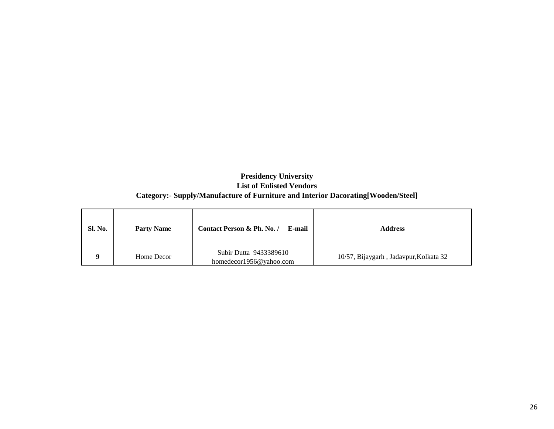| <b>Sl. No.</b> | <b>Party Name</b> | Contact Person & Ph. No. /<br>E-mail | <b>Address</b>                         |
|----------------|-------------------|--------------------------------------|----------------------------------------|
|                | Home Decor        | Subir Dutta 9433389610               | 10/57, Bijaygarh, Jadavpur, Kolkata 32 |
|                |                   | homedecor1956@yahoo.com              |                                        |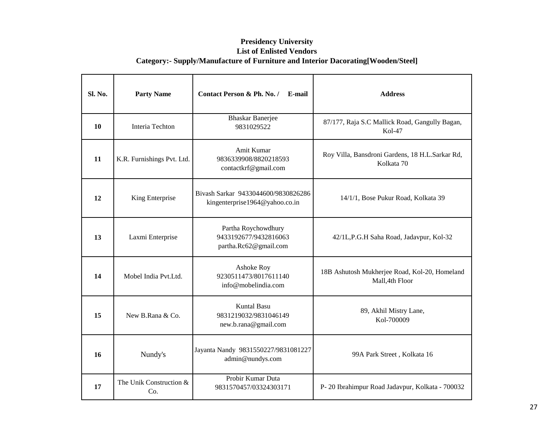| Sl. No. | <b>Party Name</b>              | Contact Person & Ph. No. /<br>E-mail                                  | <b>Address</b>                                                   |
|---------|--------------------------------|-----------------------------------------------------------------------|------------------------------------------------------------------|
| 10      | Interia Techton                | <b>Bhaskar Banerjee</b><br>9831029522                                 | 87/177, Raja S.C Mallick Road, Gangully Bagan,<br>Kol-47         |
| 11      | K.R. Furnishings Pvt. Ltd.     | Amit Kumar<br>9836339908/8820218593<br>contactkrf@gmail.com           | Roy Villa, Bansdroni Gardens, 18 H.L.Sarkar Rd,<br>Kolkata 70    |
| 12      | King Enterprise                | Bivash Sarkar 9433044600/9830826286<br>kingenterprise1964@yahoo.co.in | 14/1/1, Bose Pukur Road, Kolkata 39                              |
| 13      | Laxmi Enterprise               | Partha Roychowdhury<br>9433192677/9432816063<br>partha.Rc62@gmail.com | 42/1L,P.G.H Saha Road, Jadavpur, Kol-32                          |
| 14      | Mobel India Pvt.Ltd.           | Ashoke Roy<br>9230511473/8017611140<br>info@mobelindia.com            | 18B Ashutosh Mukherjee Road, Kol-20, Homeland<br>Mall, 4th Floor |
| 15      | New B.Rana & Co.               | <b>Kuntal Basu</b><br>9831219032/9831046149<br>new.b.rana@gmail.com   | 89, Akhil Mistry Lane,<br>Kol-700009                             |
| 16      | Nundy's                        | Jayanta Nandy 9831550227/9831081227<br>admin@nundys.com               | 99A Park Street, Kolkata 16                                      |
| 17      | The Unik Construction &<br>Co. | Probir Kumar Duta<br>9831570457/03324303171                           | P-20 Ibrahimpur Road Jadavpur, Kolkata - 700032                  |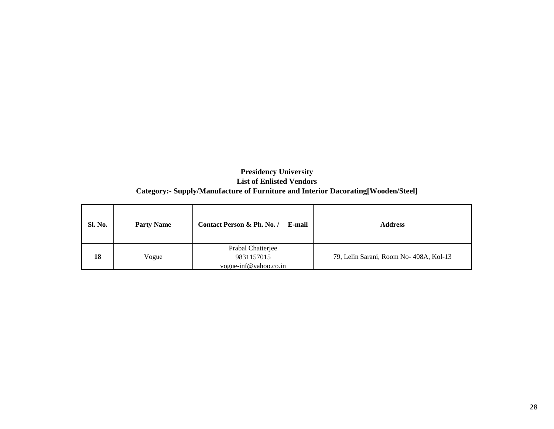| <b>Sl. No.</b> | <b>Party Name</b> | Contact Person & Ph. No. /<br>E-mail                     | <b>Address</b>                         |
|----------------|-------------------|----------------------------------------------------------|----------------------------------------|
| 18             | Vogue             | Prabal Chatterjee<br>9831157015<br>vogue-inf@yahoo.co.in | 79, Lelin Sarani, Room No-408A, Kol-13 |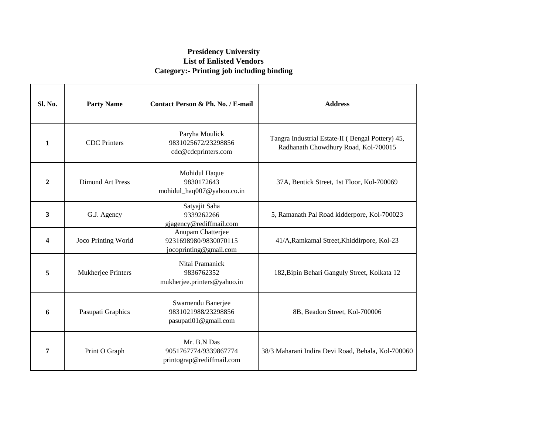#### **Presidency University List of Enlisted Vendors Category:- Printing job including binding**

| <b>Sl. No.</b> | <b>Party Name</b>       | Contact Person & Ph. No. / E-mail                                    | <b>Address</b>                                                                           |
|----------------|-------------------------|----------------------------------------------------------------------|------------------------------------------------------------------------------------------|
| 1              | <b>CDC</b> Printers     | Paryha Moulick<br>9831025672/23298856<br>cdc@cdcprinters.com         | Tangra Industrial Estate-II (Bengal Pottery) 45,<br>Radhanath Chowdhury Road, Kol-700015 |
| $\overline{2}$ | <b>Dimond Art Press</b> | Mohidul Haque<br>9830172643<br>mohidul_haq007@yahoo.co.in            | 37A, Bentick Street, 1st Floor, Kol-700069                                               |
| $\mathbf{3}$   | G.J. Agency             | Satyajit Saha<br>9339262266<br>gjagency@rediffmail.com               | 5, Ramanath Pal Road kidderpore, Kol-700023                                              |
| 4              | Joco Printing World     | Anupam Chatterjee<br>9231698980/9830070115<br>jocoprinting@gmail.com | 41/A, Ramkamal Street, Khiddirpore, Kol-23                                               |
| 5              | Mukherjee Printers      | Nitai Pramanick<br>9836762352<br>mukherjee.printers@yahoo.in         | 182, Bipin Behari Ganguly Street, Kolkata 12                                             |
| 6              | Pasupati Graphics       | Swarnendu Banerjee<br>9831021988/23298856<br>pasupati01@gmail.com    | 8B, Beadon Street, Kol-700006                                                            |
| 7              | Print O Graph           | Mr. B.N Das<br>9051767774/9339867774<br>printograp@rediffmail.com    | 38/3 Maharani Indira Devi Road, Behala, Kol-700060                                       |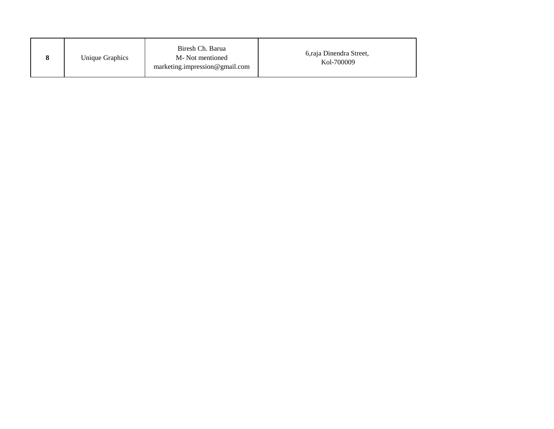|  | Unique Graphics | Biresh Ch. Barua<br>M-Not mentioned<br>marketing.impression@gmail.com | 6, raja Dinendra Street,<br>Kol-700009 |
|--|-----------------|-----------------------------------------------------------------------|----------------------------------------|
|--|-----------------|-----------------------------------------------------------------------|----------------------------------------|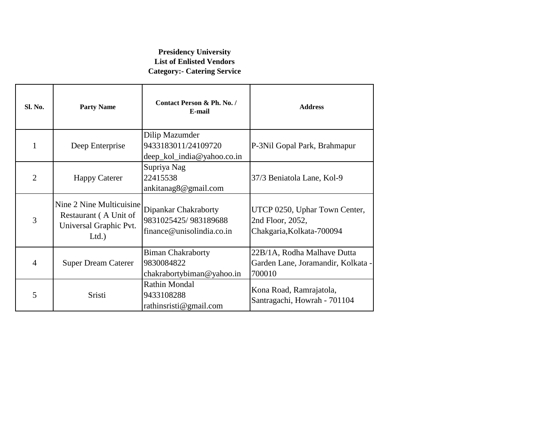#### **Presidency University List of Enlisted Vendors Category:- Catering Service**

| Sl. No.        | <b>Party Name</b>                                                                   | Contact Person & Ph. No. /<br>E-mail                                      | <b>Address</b>                                                                 |
|----------------|-------------------------------------------------------------------------------------|---------------------------------------------------------------------------|--------------------------------------------------------------------------------|
|                | Deep Enterprise                                                                     | Dilip Mazumder<br>9433183011/24109720<br>deep_kol_india@yahoo.co.in       | P-3Nil Gopal Park, Brahmapur                                                   |
| $\overline{2}$ | <b>Happy Caterer</b>                                                                | Supriya Nag<br>22415538<br>ankitanag8@gmail.com                           | 37/3 Beniatola Lane, Kol-9                                                     |
| 3              | Nine 2 Nine Multicuisine<br>Restaurant (A Unit of<br>Universal Graphic Pvt.<br>Ltd. | Dipankar Chakraborty<br>9831025425/983189688<br>finance@unisolindia.co.in | UTCP 0250, Uphar Town Center,<br>2nd Floor, 2052,<br>Chakgaria, Kolkata-700094 |
| $\overline{4}$ | <b>Super Dream Caterer</b>                                                          | <b>Biman Chakraborty</b><br>9830084822<br>chakrabortybiman@yahoo.in       | 22B/1A, Rodha Malhave Dutta<br>Garden Lane, Joramandir, Kolkata -<br>700010    |
| 5              | Sristi                                                                              | <b>Rathin Mondal</b><br>9433108288<br>rathinsristi@gmail.com              | Kona Road, Ramrajatola,<br>Santragachi, Howrah - 701104                        |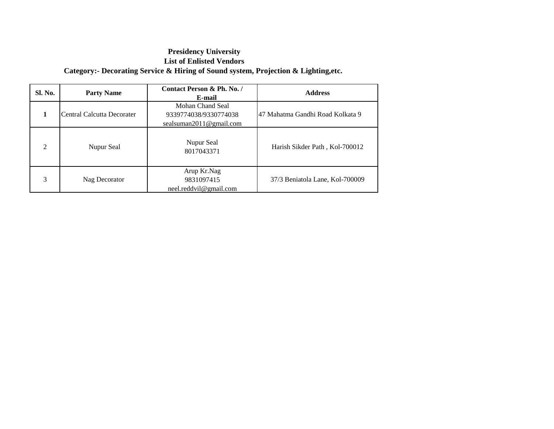### **Presidency University List of Enlisted Vendors Category:- Decorating Service & Hiring of Sound system, Projection & Lighting,etc.**

| <b>Sl. No.</b> | <b>Party Name</b>          | Contact Person & Ph. No. /<br>E-mail                                 | <b>Address</b>                   |
|----------------|----------------------------|----------------------------------------------------------------------|----------------------------------|
|                | Central Calcutta Decorater | Mohan Chand Seal<br>9339774038/9330774038<br>sealsuman2011@gmail.com | 47 Mahatma Gandhi Road Kolkata 9 |
| $\mathfrak{D}$ | Nupur Seal                 | Nupur Seal<br>8017043371                                             | Harish Sikder Path, Kol-700012   |
| 3              | Nag Decorator              | Arup Kr.Nag<br>9831097415<br>neel.reddvil@gmail.com                  | 37/3 Beniatola Lane, Kol-700009  |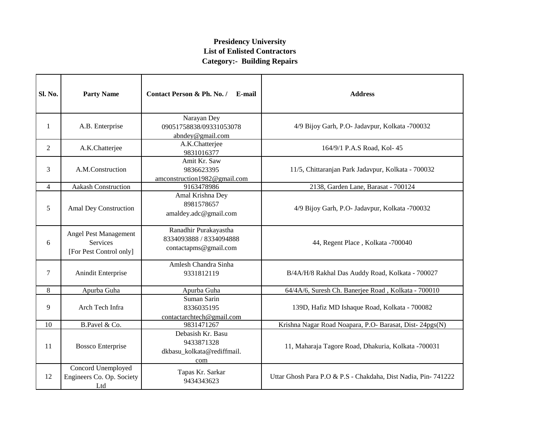| Sl. No.        | <b>Party Name</b>                                            | Contact Person & Ph. No. /<br>E-mail                                      | <b>Address</b>                                                |
|----------------|--------------------------------------------------------------|---------------------------------------------------------------------------|---------------------------------------------------------------|
| 1              | A.B. Enterprise                                              | Narayan Dey<br>09051758838/09331053078<br>abndey@gmail.com                | 4/9 Bijoy Garh, P.O- Jadavpur, Kolkata -700032                |
| $\overline{2}$ | A.K.Chatterjee                                               | A.K.Chatterjee<br>9831016377                                              | 164/9/1 P.A.S Road, Kol- 45                                   |
| 3              | A.M.Construction                                             | Amit Kr. Saw<br>9836623395<br>amconstruction1982@gmail.com                | 11/5, Chittaranjan Park Jadavpur, Kolkata - 700032            |
| $\overline{4}$ | <b>Aakash Construction</b>                                   | 9163478986                                                                | 2138, Garden Lane, Barasat - 700124                           |
| 5              | Amal Dey Construction                                        | Amal Krishna Dey<br>8981578657<br>amaldey.adc@gmail.com                   | 4/9 Bijoy Garh, P.O- Jadavpur, Kolkata -700032                |
| 6              | Angel Pest Management<br>Services<br>[For Pest Control only] | Ranadhir Purakayastha<br>8334093888 / 8334094888<br>contactapms@gmail.com | 44, Regent Place, Kolkata -700040                             |
| $\tau$         | Anindit Enterprise                                           | Amlesh Chandra Sinha<br>9331812119                                        | B/4A/H/8 Rakhal Das Auddy Road, Kolkata - 700027              |
| 8              | Apurba Guha                                                  | Apurba Guha                                                               | 64/4A/6, Suresh Ch. Banerjee Road, Kolkata - 700010           |
| 9              | Arch Tech Infra                                              | Suman Sarin<br>8336035195<br>contactarchtech@gmail.com                    | 139D, Hafiz MD Ishaque Road, Kolkata - 700082                 |
| 10             | B.Pavel & Co.                                                | 9831471267                                                                | Krishna Nagar Road Noapara, P.O- Barasat, Dist-24pgs(N)       |
| 11             | <b>Bossco Enterprise</b>                                     | Debasish Kr. Basu<br>9433871328<br>dkbasu_kolkata@rediffmail.<br>com      | 11, Maharaja Tagore Road, Dhakuria, Kolkata -700031           |
| 12             | Concord Unemployed<br>Engineers Co. Op. Society<br>Ltd       | Tapas Kr. Sarkar<br>9434343623                                            | Uttar Ghosh Para P.O & P.S - Chakdaha, Dist Nadia, Pin-741222 |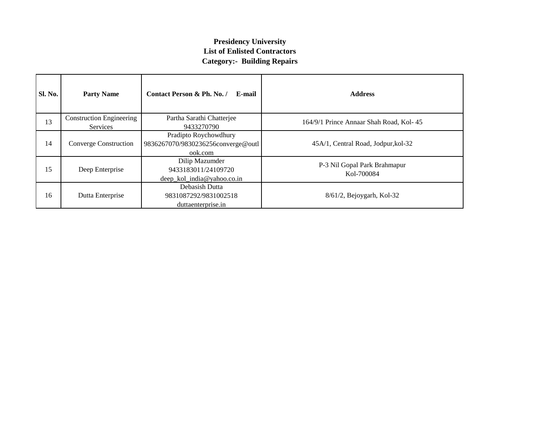| Sl. No. | <b>Party Name</b>                           | Contact Person & Ph. No. /<br>E-mail                                   | <b>Address</b>                             |
|---------|---------------------------------------------|------------------------------------------------------------------------|--------------------------------------------|
| 13      | <b>Construction Engineering</b><br>Services | Partha Sarathi Chatterjee<br>9433270790                                | 164/9/1 Prince Annaar Shah Road, Kol-45    |
| 14      | Converge Construction                       | Pradipto Roychowdhury<br>9836267070/9830236256converge@outl<br>ook.com | 45A/1, Central Road, Jodpur, kol-32        |
| 15      | Deep Enterprise                             | Dilip Mazumder<br>9433183011/24109720<br>deep kol india@yahoo.co.in    | P-3 Nil Gopal Park Brahmapur<br>Kol-700084 |
| 16      | Dutta Enterprise                            | Debasish Dutta<br>9831087292/9831002518<br>duttaenterprise.in          | $8/61/2$ , Bejoygarh, Kol-32               |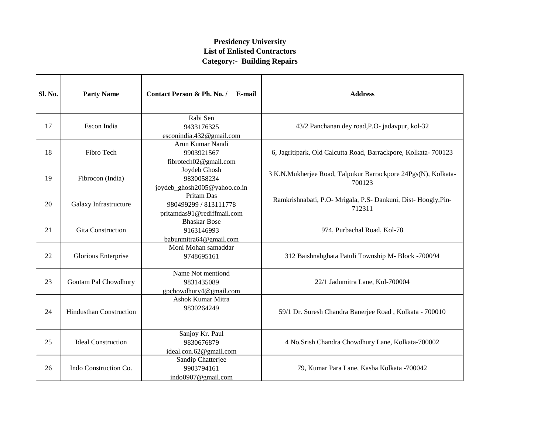| Sl. No. | <b>Party Name</b>              | Contact Person & Ph. No. /<br>E-mail                              | <b>Address</b>                                                           |
|---------|--------------------------------|-------------------------------------------------------------------|--------------------------------------------------------------------------|
| 17      | Escon India                    | Rabi Sen<br>9433176325<br>esconindia.432@gmail.com                | 43/2 Panchanan dey road, P.O- jadavpur, kol-32                           |
| 18      | Fibro Tech                     | Arun Kumar Nandi<br>9903921567<br>fibrotech02@gmail.com           | 6, Jagritipark, Old Calcutta Road, Barrackpore, Kolkata- 700123          |
| 19      | Fibrocon (India)               | Joydeb Ghosh<br>9830058234<br>joydeb_ghosh2005@yahoo.co.in        | 3 K.N.Mukherjee Road, Talpukur Barrackpore 24Pgs(N), Kolkata-<br>700123  |
| 20      | Galaxy Infrastructure          | Pritam Das<br>980499299 / 813111778<br>pritamdas91@rediffmail.com | Ramkrishnabati, P.O- Mrigala, P.S- Dankuni, Dist- Hoogly, Pin-<br>712311 |
| 21      | <b>Gita Construction</b>       | <b>Bhaskar Bose</b><br>9163146993<br>babunmitra64@gmail.com       | 974, Purbachal Road, Kol-78                                              |
| 22      | Glorious Enterprise            | Moni Mohan samaddar<br>9748695161                                 | 312 Baishnabghata Patuli Township M- Block -700094                       |
| 23      | Goutam Pal Chowdhury           | Name Not mentiond<br>9831435089<br>gpchowdhury4@gmail.com         | 22/1 Jadumitra Lane, Kol-700004                                          |
| 24      | <b>Hindusthan Construction</b> | <b>Ashok Kumar Mitra</b><br>9830264249                            | 59/1 Dr. Suresh Chandra Banerjee Road, Kolkata - 700010                  |
| 25      | <b>Ideal Construction</b>      | Sanjoy Kr. Paul<br>9830676879<br>ideal.con.62@gmail.com           | 4 No.Srish Chandra Chowdhury Lane, Kolkata-700002                        |
| 26      | Indo Construction Co.          | Sandip Chatterjee<br>9903794161<br>indo0907@gmail.com             | 79, Kumar Para Lane, Kasba Kolkata -700042                               |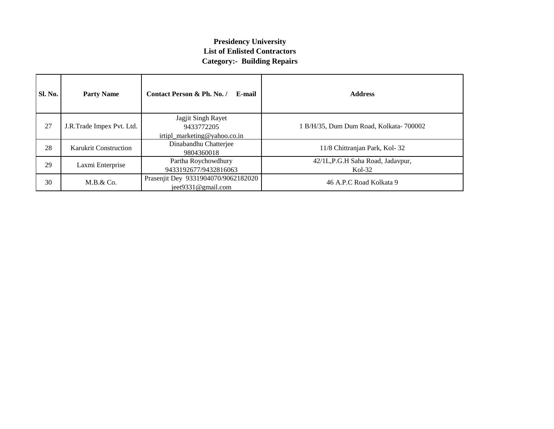| Sl. No. | <b>Party Name</b>         | Contact Person & Ph. No. /<br>E-mail                             | <b>Address</b>                               |
|---------|---------------------------|------------------------------------------------------------------|----------------------------------------------|
| 27      | J.R.Trade Impex Pvt. Ltd. | Jagjit Singh Rayet<br>9433772205<br>irtipl marketing@yahoo.co.in | 1 B/H/35, Dum Dum Road, Kolkata-700002       |
| 28      | Karukrit Construction     | Dinabandhu Chatterjee<br>9804360018                              | 11/8 Chittranjan Park, Kol-32                |
| 29      | Laxmi Enterprise          | Partha Roychowdhury<br>9433192677/9432816063                     | 42/1L,P.G.H Saha Road, Jadavpur,<br>$Kol-32$ |
| 30      | M.B. & Co.                | Prasenjit Dey 9331904070/9062182020<br>ject9331@gmail.com        | 46 A.P.C Road Kolkata 9                      |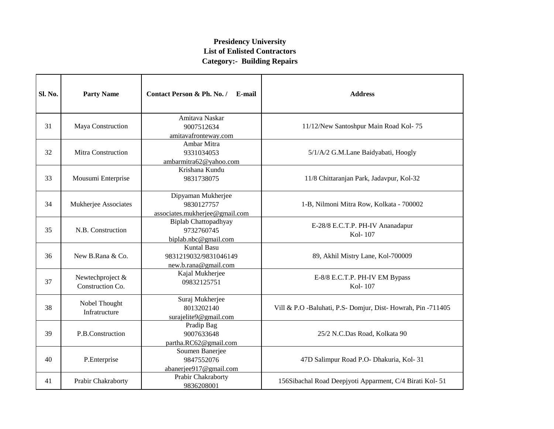| Sl. No. | <b>Party Name</b>                    | Contact Person & Ph. No. /<br>E-mail                                | <b>Address</b>                                              |
|---------|--------------------------------------|---------------------------------------------------------------------|-------------------------------------------------------------|
| 31      | Maya Construction                    | Amitava Naskar<br>9007512634<br>amitavafronteway.com                | 11/12/New Santoshpur Main Road Kol-75                       |
| 32      | Mitra Construction                   | Ambar Mitra<br>9331034053<br>ambarmitra62@yahoo.com                 | 5/1/A/2 G.M.Lane Baidyabati, Hoogly                         |
| 33      | Mousumi Enterprise                   | Krishana Kundu<br>9831738075                                        | 11/8 Chittaranjan Park, Jadavpur, Kol-32                    |
| 34      | Mukherjee Associates                 | Dipyaman Mukherjee<br>9830127757<br>associates.mukherjee@gmail.com  | 1-B, Nilmoni Mitra Row, Kolkata - 700002                    |
| 35      | N.B. Construction                    | <b>Biplab Chattopadhyay</b><br>9732760745<br>biplab.nbc@gmail.com   | E-28/8 E.C.T.P. PH-IV Ananadapur<br>Kol-107                 |
| 36      | New B.Rana & Co.                     | <b>Kuntal Basu</b><br>9831219032/9831046149<br>new.b.rana@gmail.com | 89, Akhil Mistry Lane, Kol-700009                           |
| 37      | Newtechproject &<br>Construction Co. | Kajal Mukherjee<br>09832125751                                      | E-8/8 E.C.T.P. PH-IV EM Bypass<br>Kol-107                   |
| 38      | Nobel Thought<br>Infratructure       | Suraj Mukherjee<br>8013202140<br>surajelite9@gmail.com              | Vill & P.O -Baluhati, P.S- Domjur, Dist-Howrah, Pin -711405 |
| 39      | P.B.Construction                     | Pradip Bag<br>9007633648<br>partha.RC62@gmail.com                   | 25/2 N.C.Das Road, Kolkata 90                               |
| 40      | P.Enterprise                         | Soumen Banerjee<br>9847552076<br>abanerjee917@gmail.com             | 47D Salimpur Road P.O- Dhakuria, Kol- 31                    |
| 41      | Prabir Chakraborty                   | Prabir Chakraborty<br>9836208001                                    | 156Sibachal Road Deepjyoti Apparment, C/4 Birati Kol- 51    |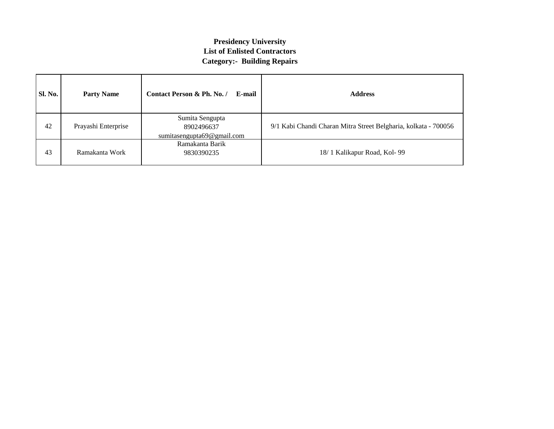| Sl. No. | <b>Party Name</b>                                                                  | Contact Person & Ph. No. /<br>E-mail | <b>Address</b>                                                  |
|---------|------------------------------------------------------------------------------------|--------------------------------------|-----------------------------------------------------------------|
| 42      | Sumita Sengupta<br>Prayashi Enterprise<br>8902496637<br>sumitasengupta69@gmail.com |                                      | 9/1 Kabi Chandi Charan Mitra Street Belgharia, kolkata - 700056 |
| 43      | Ramakanta Barik<br>Ramakanta Work<br>9830390235                                    |                                      | 18/1 Kalikapur Road, Kol-99                                     |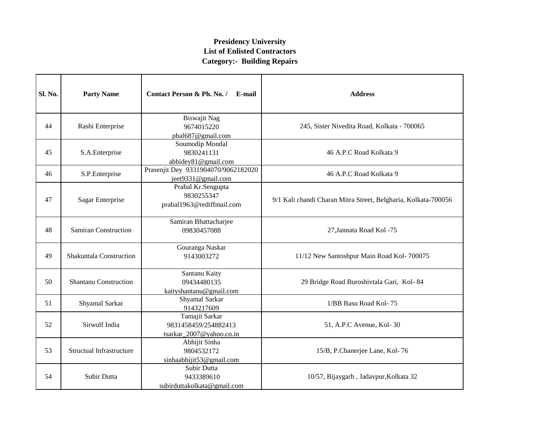| Sl. No. | <b>Party Name</b>                                                                   | Contact Person & Ph. No. /<br>E-mail                      | <b>Address</b>                                                 |  |
|---------|-------------------------------------------------------------------------------------|-----------------------------------------------------------|----------------------------------------------------------------|--|
| 44      | Rashi Enterprise                                                                    | <b>Biswajit Nag</b><br>9674015220<br>pbal687@gmail.com    | 245, Sister Nivedita Road, Kolkata - 700065                    |  |
| 45      | S.A.Enterprise                                                                      | Soumodip Mondal<br>9830241131<br>abhidey81@gmail.com      | 46 A.P.C Road Kolkata 9                                        |  |
| 46      | S.P.Enterprise                                                                      | Prasenjit Dey 9331904070/9062182020<br>jeet9331@gmail.com | 46 A.P.C Road Kolkata 9                                        |  |
| 47      | Prabal Kr.Sengupta<br>9830255347<br>Sagar Enterprise<br>prabal1963@rediffmail.com   |                                                           | 9/1 Kali chandi Charan Mitra Street, Belgharia, Kolkata-700056 |  |
| 48      | <b>Samiran Construction</b>                                                         | Samiran Bhattacharjee<br>09830457088                      | 27, Jannata Road Kol -75                                       |  |
| 49      | Shakuntala Construction                                                             | Gouranga Naskar<br>9143003272                             | 11/12 New Santoshpur Main Road Kol-700075                      |  |
| 50      | <b>Shantanu Construction</b>                                                        | Santanu Kaity<br>09434480135<br>kaityshantanu@gmail.com   | 29 Bridge Road Buroshivtala Gari, Kol-84                       |  |
| 51      | Shyamal Sarkar                                                                      | Shyamal Sarkar<br>9143217609                              | 1/BB Basu Road Kol-75                                          |  |
| 52      | Tamajit Sarkar<br>Sirwolf India<br>9831458459/254882413<br>tsarkar_2007@yahoo.co.in |                                                           | 51, A.P.C Avenue, Kol-30                                       |  |
| 53      | <b>Structual Infrastructure</b>                                                     | Abhijit Sinha<br>9804532172<br>sinhaabhijit53@gmail.com   | 15/B, P.Cbanerjee Lane, Kol-76                                 |  |
| 54      | Subir Dutta                                                                         | Subir Dutta<br>9433389610<br>subirduttakolkata@gmail.com  | 10/57, Bijaygarh, Jadavpur, Kolkata 32                         |  |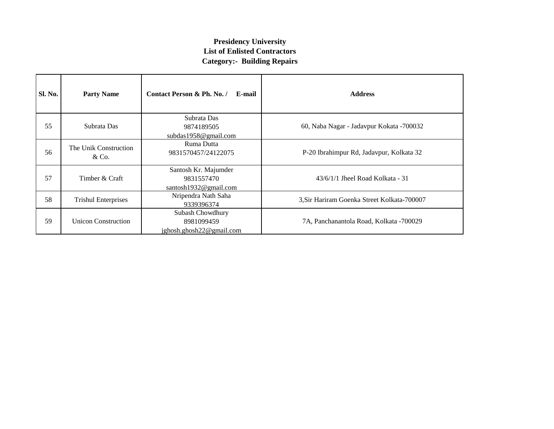| <b>Sl. No.</b> | <b>Party Name</b>                                                  | Contact Person & Ph. No. /<br>E-mail                        | <b>Address</b>                              |
|----------------|--------------------------------------------------------------------|-------------------------------------------------------------|---------------------------------------------|
| 55             | Subrata Das                                                        | Subrata Das<br>9874189505<br>subdas $1958@$ gmail.com       | 60, Naba Nagar - Jadavpur Kokata -700032    |
| 56             | Ruma Dutta<br>The Unik Construction<br>9831570457/24122075<br>&Co. |                                                             | P-20 Ibrahimpur Rd, Jadavpur, Kolkata 32    |
| 57             | Timber & Craft                                                     | Santosh Kr. Majumder<br>9831557470<br>santosh1932@gmail.com | $43/6/1/1$ Jheel Road Kolkata - 31          |
| 58             | Nripendra Nath Saha<br><b>Trishul Enterprises</b><br>9339396374    |                                                             | 3, Sir Hariram Goenka Street Kolkata-700007 |
| 59             | <b>Unicon Construction</b>                                         | Subash Chowdhury<br>8981099459<br>ighosh.ghosh22@gmail.com  | 7A, Panchanantola Road, Kolkata -700029     |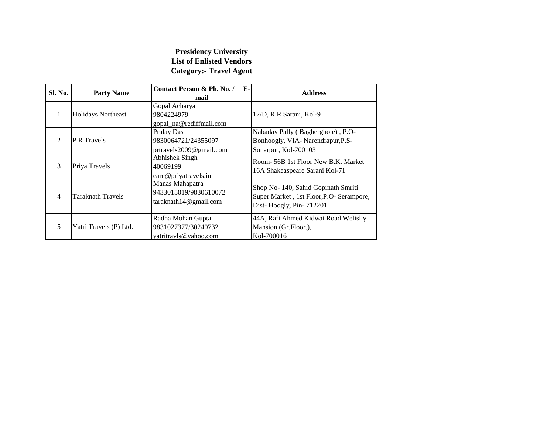#### **Presidency University List of Enlisted Vendors Category:- Travel Agent**

| Sl. No.                     | <b>Party Name</b>         | Contact Person & Ph. No. /<br>Е-<br>mail                          | <b>Address</b>                                                                                             |
|-----------------------------|---------------------------|-------------------------------------------------------------------|------------------------------------------------------------------------------------------------------------|
|                             | <b>Holidays Northeast</b> | Gopal Acharya<br>9804224979<br>gopal na@rediffmail.com            | 12/D, R.R Sarani, Kol-9                                                                                    |
| $\mathcal{D}_{\mathcal{L}}$ | <b>P R Travels</b>        | Pralay Das<br>9830064721/24355097<br>prtravels2009@gmail.com      | Nabaday Pally (Bagherghole), P.O-<br>Bonhoogly, VIA- Narendrapur, P.S-<br>Sonarpur, Kol-700103             |
| 3                           | Priya Travels             | Abhishek Singh<br>40069199<br>care@priyatravels.in                | Room- 56B 1st Floor New B.K. Market<br>16A Shakeaspeare Sarani Kol-71                                      |
| 4                           | Taraknath Travels         | Manas Mahapatra<br>9433015019/9830610072<br>taraknath14@gmail.com | Shop No- 140, Sahid Gopinath Smriti<br>Super Market, 1st Floor, P.O- Serampore,<br>Dist-Hoogly, Pin-712201 |
| 5                           | Yatri Travels (P) Ltd.    | Radha Mohan Gupta<br>9831027377/30240732<br>yatritravls@yahoo.com | 44A, Rafi Ahmed Kidwai Road Welisliy<br>Mansion (Gr.Floor.),<br>Kol-700016                                 |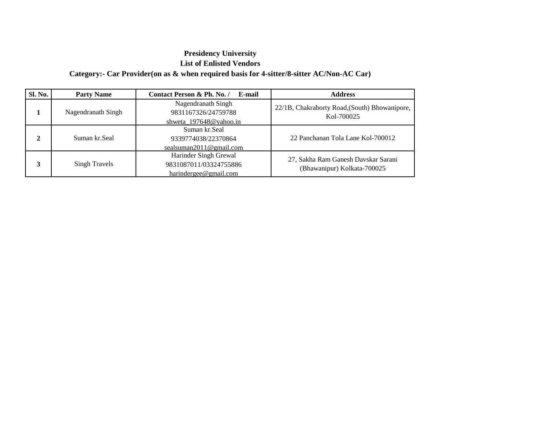#### **Presidency University List of Enlisted Vendors Category:- Car Provider(on as & when required basis for 4-sitter/8-sitter AC/Non-AC Car)**

| <b>Sl. No.</b> | <b>Party Name</b>  | Contact Person & Ph. No. /<br>E-mail                                     | <b>Address</b>                                                     |
|----------------|--------------------|--------------------------------------------------------------------------|--------------------------------------------------------------------|
|                | Nagendranath Singh | Nagendranath Singh<br>9831167326/24759788<br>shweta 197648@yahoo.in      | 22/1B, Chakraborty Road, (South) Bhowanipore,<br>Kol-700025        |
| 2              | Suman kr.Seal      | Suman kr. Seal<br>9339774038/22370864<br>sealsuman2011@gmail.com         | 22 Panchanan Tola Lane Kol-700012                                  |
|                | Singh Travels      | Harinder Singh Grewal<br>9831087011/03324755886<br>harindergee@gmail.com | 27, Sakha Ram Ganesh Davskar Sarani<br>(Bhawanipur) Kolkata-700025 |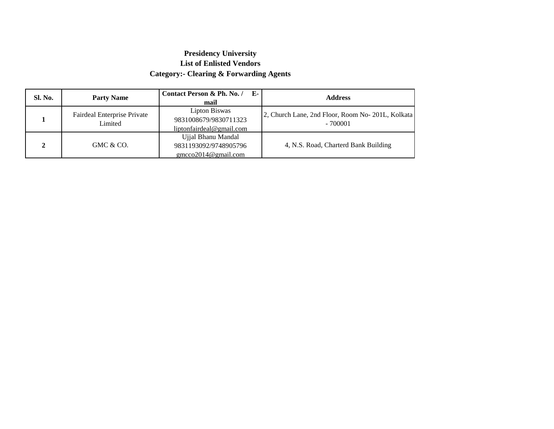#### **Presidency University List of Enlisted Vendors Category:- Clearing & Forwarding Agents**

| Sl. No. | <b>Party Name</b>                      | $E-$<br>Contact Person & Ph. No. /<br>mail                         | <b>Address</b>                                                 |
|---------|----------------------------------------|--------------------------------------------------------------------|----------------------------------------------------------------|
|         | Fairdeal Enterprise Private<br>Limited | Lipton Biswas<br>9831008679/9830711323<br>liptonfairdeal@gmail.com | 2, Church Lane, 2nd Floor, Room No- 201L, Kolkata<br>$-700001$ |
| ↑       | GMC & CO.                              | Ujjal Bhanu Mandal<br>9831193092/9748905796<br>gmcco2014@gmail.com | 4, N.S. Road, Charterd Bank Building                           |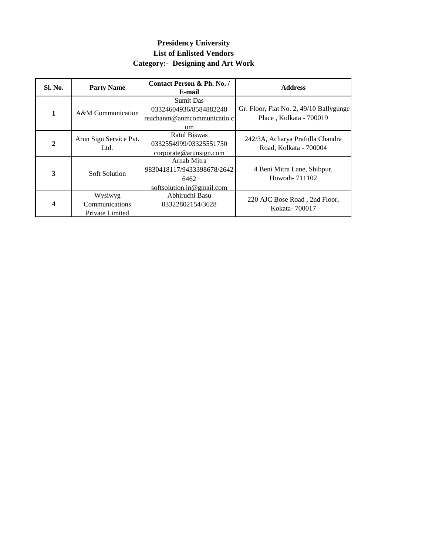### **Presidency University List of Enlisted Vendors Category:- Designing and Art Work**

| Sl. No.        | <b>Party Name</b>                            | Contact Person & Ph. No. /<br>E-mail                                           | <b>Address</b>                                                     |
|----------------|----------------------------------------------|--------------------------------------------------------------------------------|--------------------------------------------------------------------|
| 1              | A&M Communication                            | <b>Sumit Das</b><br>03324604936/8584882248<br>reachanm@anmcommunicatio.c<br>om | Gr. Floor, Flat No. 2, 49/10 Ballygunge<br>Place, Kolkata - 700019 |
| $\overline{2}$ | Arun Sign Service Pvt.<br>Ltd.               | <b>Ratul Biswas</b><br>0332554999/03325551750<br>corporate@arunsign.com        | 242/3A, Acharya Prafulla Chandra<br>Road, Kolkata - 700004         |
| 3              | <b>Soft Solution</b>                         | Arnab Mitra<br>9830418117/9433398678/2642<br>6462<br>softsolution.in@gmail.com | 4 Beni Mitra Lane, Shibpur,<br>Howrah-711102                       |
| 4              | Wysiwyg<br>Communications<br>Private Limited | Abhiruchi Basu<br>03322802154/3628                                             | 220 AJC Bose Road, 2nd Floor,<br>Kokata-700017                     |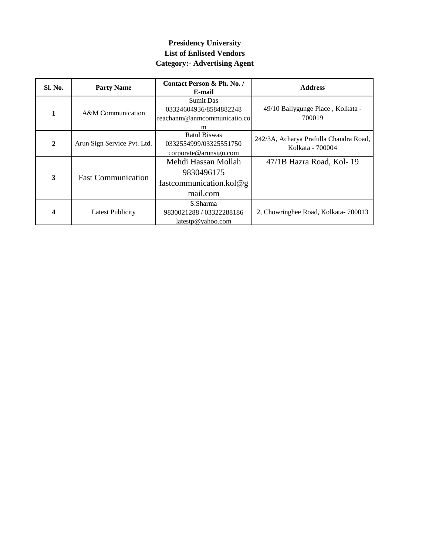### **Presidency University List of Enlisted Vendors Category:- Advertising Agent**

| Sl. No.      | <b>Party Name</b>           | Contact Person & Ph. No. /<br>E-mail                                           | <b>Address</b>                                             |
|--------------|-----------------------------|--------------------------------------------------------------------------------|------------------------------------------------------------|
| 1            | A&M Communication           | <b>Sumit Das</b><br>03324604936/8584882248<br>reachanm@anmcommunicatio.co<br>m | 49/10 Ballygunge Place, Kolkata -<br>700019                |
| $\mathbf{2}$ | Arun Sign Service Pvt. Ltd. | Ratul Biswas<br>0332554999/03325551750<br>corporate@arunsign.com               | 242/3A, Acharya Prafulla Chandra Road,<br>Kolkata - 700004 |
| 3            | <b>Fast Communication</b>   | Mehdi Hassan Mollah<br>9830496175<br>fastcommunication.kol $@g$<br>mail.com    | 47/1B Hazra Road, Kol-19                                   |
|              | <b>Latest Publicity</b>     | S.Sharma<br>9830021288 / 03322288186<br>latestp@yahoo.com                      | 2, Chowringhee Road, Kolkata-700013                        |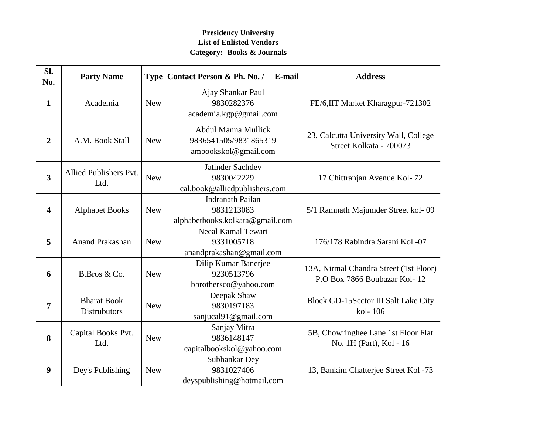#### **Presidency University List of Enlisted Vendors Category:- Books & Journals**

| SI.<br>No.              | <b>Party Name</b>                         |            | E-mail<br>Type   Contact Person & Ph. No. /                                 | <b>Address</b>                                                         |
|-------------------------|-------------------------------------------|------------|-----------------------------------------------------------------------------|------------------------------------------------------------------------|
| $\mathbf{1}$            | Academia                                  | <b>New</b> | Ajay Shankar Paul<br>9830282376<br>academia.kgp@gmail.com                   | FE/6, IIT Market Kharagpur-721302                                      |
| $\overline{2}$          | A.M. Book Stall                           | <b>New</b> | <b>Abdul Manna Mullick</b><br>9836541505/9831865319<br>ambookskol@gmail.com | 23, Calcutta University Wall, College<br>Street Kolkata - 700073       |
| $\overline{\mathbf{3}}$ | Allied Publishers Pvt.<br>Ltd.            | <b>New</b> | Jatinder Sachdev<br>9830042229<br>cal.book@alliedpublishers.com             | 17 Chittranjan Avenue Kol-72                                           |
| 4                       | <b>Alphabet Books</b>                     | <b>New</b> | <b>Indranath Pailan</b><br>9831213083<br>alphabetbooks.kolkata@gmail.com    | 5/1 Ramnath Majumder Street kol-09                                     |
| 5                       | <b>Anand Prakashan</b>                    | <b>New</b> | Neeal Kamal Tewari<br>9331005718<br>anandprakashan@gmail.com                | 176/178 Rabindra Sarani Kol -07                                        |
| 6                       | B.Bros & Co.                              | <b>New</b> | Dilip Kumar Banerjee<br>9230513796<br>bbrothersco@yahoo.com                 | 13A, Nirmal Chandra Street (1st Floor)<br>P.O Box 7866 Boubazar Kol-12 |
| 7                       | <b>Bharat Book</b><br><b>Distrubutors</b> | <b>New</b> | Deepak Shaw<br>9830197183<br>sanjucal91@gmail.com                           | Block GD-15Sector III Salt Lake City<br>kol-106                        |
| 8                       | Capital Books Pvt.<br>Ltd.                | <b>New</b> | Sanjay Mitra<br>9836148147<br>capitalbookskol@yahoo.com                     | 5B, Chowringhee Lane 1st Floor Flat<br>No. 1H (Part), Kol - 16         |
| 9                       | Dey's Publishing                          | <b>New</b> | Subhankar Dey<br>9831027406<br>deyspublishing@hotmail.com                   | 13, Bankim Chatterjee Street Kol -73                                   |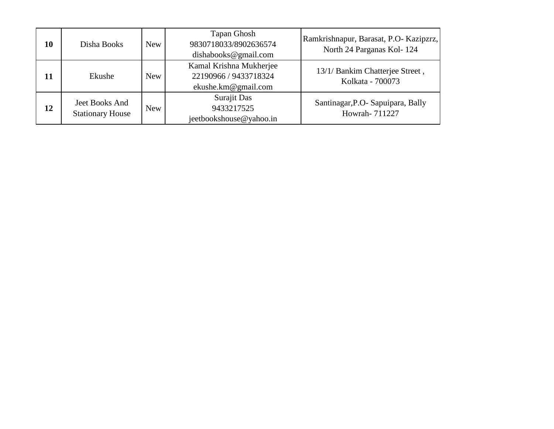| 10 | Disha Books                               | New        | Tapan Ghosh<br>9830718033/8902636574<br>dishabooks@gmail.com            | Ramkrishnapur, Barasat, P.O- Kazipzrz,<br>North 24 Parganas Kol-124 |
|----|-------------------------------------------|------------|-------------------------------------------------------------------------|---------------------------------------------------------------------|
| 11 | Ekushe                                    | New        | Kamal Krishna Mukherjee<br>22190966 / 9433718324<br>ekushe.km@gmail.com | 13/1/ Bankim Chatterjee Street,<br>Kolkata - 700073                 |
| 12 | Jeet Books And<br><b>Stationary House</b> | <b>New</b> | Surajit Das<br>9433217525<br>jeetbookshouse@yahoo.in                    | Santinagar, P.O- Sapuipara, Bally<br>Howrah-711227                  |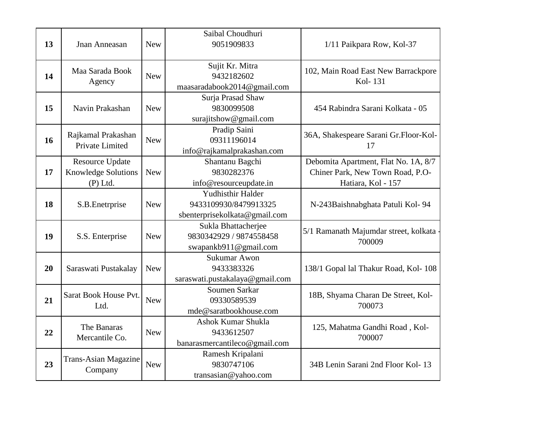| 13 | Jnan Anneasan                                                      | <b>New</b> | Saibal Choudhuri<br>9051909833                                              | 1/11 Paikpara Row, Kol-37                                                                      |
|----|--------------------------------------------------------------------|------------|-----------------------------------------------------------------------------|------------------------------------------------------------------------------------------------|
| 14 | Maa Sarada Book<br>Agency                                          | <b>New</b> | Sujit Kr. Mitra<br>9432182602<br>maasaradabook2014@gmail.com                | 102, Main Road East New Barrackpore<br>Kol-131                                                 |
| 15 | Navin Prakashan                                                    | <b>New</b> | Surja Prasad Shaw<br>9830099508<br>surajitshow@gmail.com                    | 454 Rabindra Sarani Kolkata - 05                                                               |
| 16 | Rajkamal Prakashan<br>Private Limited                              | <b>New</b> | Pradip Saini<br>09311196014<br>info@rajkamalprakashan.com                   | 36A, Shakespeare Sarani Gr.Floor-Kol-<br>17                                                    |
| 17 | <b>Resource Update</b><br><b>Knowledge Solutions</b><br>$(P)$ Ltd. | <b>New</b> | Shantanu Bagchi<br>9830282376<br>info@resourceupdate.in                     | Debomita Apartment, Flat No. 1A, 8/7<br>Chiner Park, New Town Road, P.O-<br>Hatiara, Kol - 157 |
| 18 | S.B. Enetrprise                                                    | <b>New</b> | Yudhisthir Halder<br>9433109930/8479913325<br>sbenterprisekolkata@gmail.com | N-243Baishnabghata Patuli Kol-94                                                               |
| 19 | S.S. Enterprise                                                    | <b>New</b> | Sukla Bhattacherjee<br>9830342929 / 9874558458<br>swapankb911@gmail.com     | 5/1 Ramanath Majumdar street, kolkata<br>700009                                                |
| 20 | Saraswati Pustakalay                                               | <b>New</b> | Sukumar Awon<br>9433383326<br>saraswati.pustakalaya@gmail.com               | 138/1 Gopal lal Thakur Road, Kol-108                                                           |
| 21 | Sarat Book House Pvt.<br>Ltd.                                      | <b>New</b> | Soumen Sarkar<br>09330589539<br>mde@saratbookhouse.com                      | 18B, Shyama Charan De Street, Kol-<br>700073                                                   |
| 22 | The Banaras<br>Mercantile Co.                                      | <b>New</b> | Ashok Kumar Shukla<br>9433612507<br>banarasmercantileco@gmail.com           | 125, Mahatma Gandhi Road, Kol-<br>700007                                                       |
| 23 | <b>Trans-Asian Magazine</b><br>Company                             | <b>New</b> | Ramesh Kripalani<br>9830747106<br>transasian@yahoo.com                      | 34B Lenin Sarani 2nd Floor Kol-13                                                              |